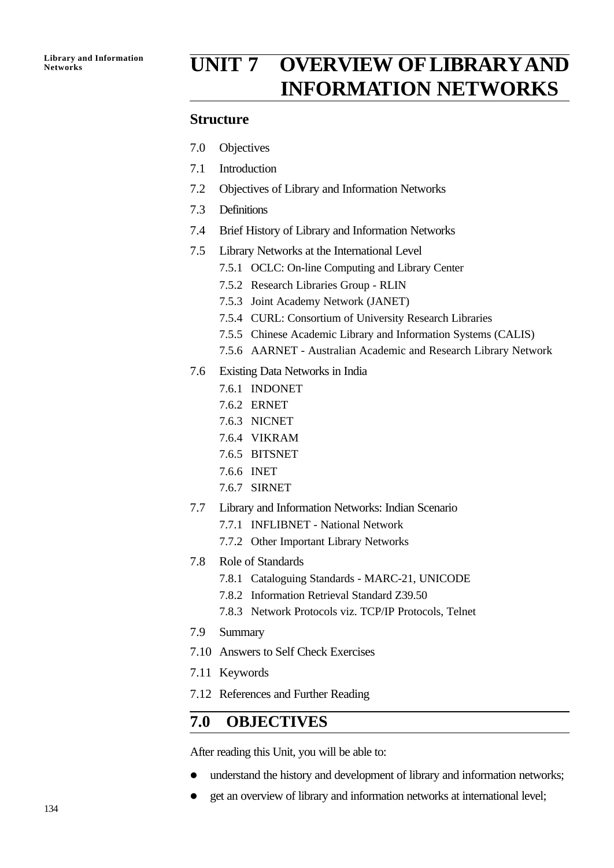# Library and Information **UNIT 7 OVERVIEW OF LIBRARY AND INFORMATION NETWORKS**

## **Structure**

- 7.0 Objectives
- 7.1 Introduction
- 7.2 Objectives of Library and Information Networks
- 7.3 Definitions
- 7.4 Brief History of Library and Information Networks
- 7.5 Library Networks at the International Level
	- 7.5.1 OCLC: On-line Computing and Library Center
	- 7.5.2 Research Libraries Group RLIN
	- 7.5.3 Joint Academy Network (JANET)
	- 7.5.4 CURL: Consortium of University Research Libraries
	- 7.5.5 Chinese Academic Library and Information Systems (CALIS)
	- 7.5.6 AARNET Australian Academic and Research Library Network
- 7.6 Existing Data Networks in India
	- 7.6.1 INDONET
	- 7.6.2 ERNET
	- 7.6.3 NICNET
	- 7.6.4 VIKRAM
	- 7.6.5 BITSNET
	- 7.6.6 INET
	- 7.6.7 SIRNET
- 7.7 Library and Information Networks: Indian Scenario
	- 7.7.1 INFLIBNET National Network
	- 7.7.2 Other Important Library Networks
- 7.8 Role of Standards
	- 7.8.1 Cataloguing Standards MARC-21, UNICODE
	- 7.8.2 Information Retrieval Standard Z39.50
	- 7.8.3 Network Protocols viz. TCP/IP Protocols, Telnet
- 7.9 Summary
- 7.10 Answers to Self Check Exercises
- 7.11 Keywords
- 7.12 References and Further Reading

## **7.0 OBJECTIVES**

After reading this Unit, you will be able to:

- understand the history and development of library and information networks;
- get an overview of library and information networks at international level;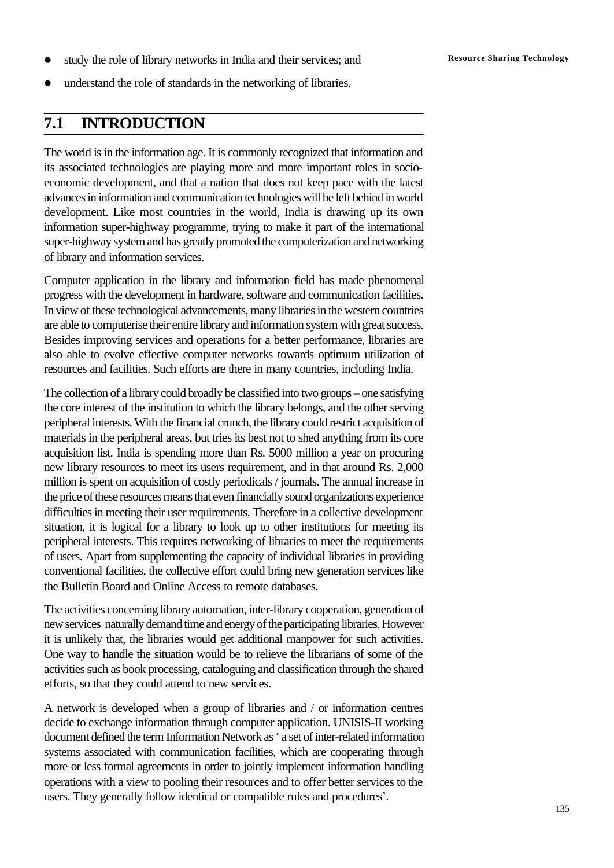- study the role of library networks in India and their services; and **Resource Sharing Technology**
- l understand the role of standards in the networking of libraries.

## **7.1 INTRODUCTION**

The world is in the information age. It is commonly recognized that information and its associated technologies are playing more and more important roles in socioeconomic development, and that a nation that does not keep pace with the latest advances in information and communication technologies will be left behind in world development. Like most countries in the world, India is drawing up its own information super-highway programme, trying to make it part of the international super-highway system and has greatly promoted the computerization and networking of library and information services.

Computer application in the library and information field has made phenomenal progress with the development in hardware, software and communication facilities. In view of these technological advancements, many libraries in the western countries are able to computerise their entire library and information system with great success. Besides improving services and operations for a better performance, libraries are also able to evolve effective computer networks towards optimum utilization of resources and facilities. Such efforts are there in many countries, including India.

The collection of a library could broadly be classified into two groups – one satisfying the core interest of the institution to which the library belongs, and the other serving peripheral interests. With the financial crunch, the library could restrict acquisition of materials in the peripheral areas, but tries its best not to shed anything from its core acquisition list. India is spending more than Rs. 5000 million a year on procuring new library resources to meet its users requirement, and in that around Rs. 2,000 million is spent on acquisition of costly periodicals / journals. The annual increase in the price of these resources means that even financially sound organizations experience difficulties in meeting their user requirements. Therefore in a collective development situation, it is logical for a library to look up to other institutions for meeting its peripheral interests. This requires networking of libraries to meet the requirements of users. Apart from supplementing the capacity of individual libraries in providing conventional facilities, the collective effort could bring new generation services like the Bulletin Board and Online Access to remote databases.

The activities concerning library automation, inter-library cooperation, generation of new services naturally demand time and energy of the participating libraries. However it is unlikely that, the libraries would get additional manpower for such activities. One way to handle the situation would be to relieve the librarians of some of the activities such as book processing, cataloguing and classification through the shared efforts, so that they could attend to new services.

A network is developed when a group of libraries and / or information centres decide to exchange information through computer application. UNISIS-II working document defined the term Information Network as ' a set of inter-related information systems associated with communication facilities, which are cooperating through more or less formal agreements in order to jointly implement information handling operations with a view to pooling their resources and to offer better services to the users. They generally follow identical or compatible rules and procedures'.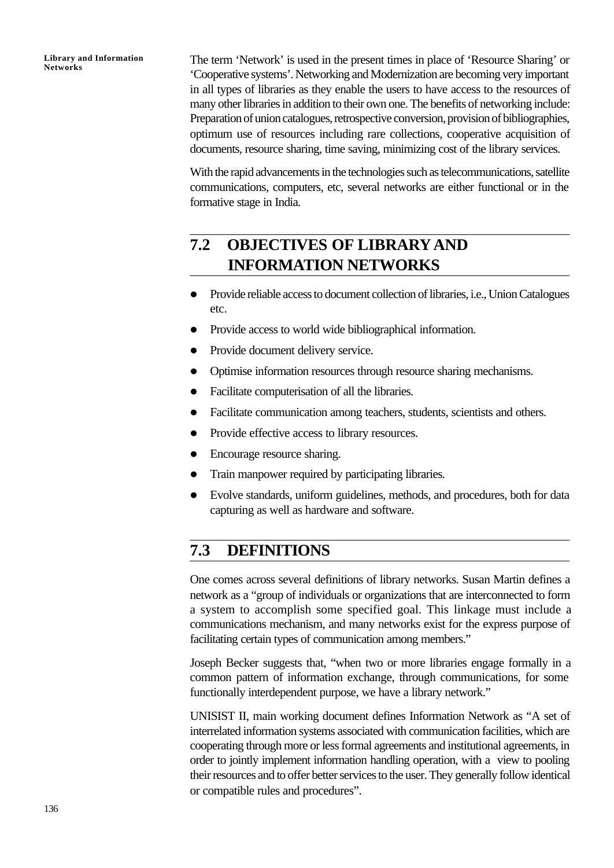The term 'Network' is used in the present times in place of 'Resource Sharing' or 'Cooperative systems'. Networking and Modernization are becoming very important in all types of libraries as they enable the users to have access to the resources of many other libraries in addition to their own one. The benefits of networking include: Preparation of union catalogues, retrospective conversion, provision of bibliographies, optimum use of resources including rare collections, cooperative acquisition of documents, resource sharing, time saving, minimizing cost of the library services.

With the rapid advancements in the technologies such as telecommunications, satellite communications, computers, etc, several networks are either functional or in the formative stage in India.

# **7.2 OBJECTIVES OF LIBRARYAND INFORMATION NETWORKS**

- l Provide reliable access to document collection of libraries, i.e., Union Catalogues etc.
- Provide access to world wide bibliographical information.
- Provide document delivery service.
- Optimise information resources through resource sharing mechanisms.
- Facilitate computerisation of all the libraries.
- Facilitate communication among teachers, students, scientists and others.
- Provide effective access to library resources.
- Encourage resource sharing.
- Train manpower required by participating libraries.
- Evolve standards, uniform guidelines, methods, and procedures, both for data capturing as well as hardware and software.

# **7.3 DEFINITIONS**

One comes across several definitions of library networks. Susan Martin defines a network as a "group of individuals or organizations that are interconnected to form a system to accomplish some specified goal. This linkage must include a communications mechanism, and many networks exist for the express purpose of facilitating certain types of communication among members."

Joseph Becker suggests that, "when two or more libraries engage formally in a common pattern of information exchange, through communications, for some functionally interdependent purpose, we have a library network."

UNISIST II, main working document defines Information Network as "A set of interrelated information systems associated with communication facilities, which are cooperating through more or less formal agreements and institutional agreements, in order to jointly implement information handling operation, with a view to pooling their resources and to offer better services to the user. They generally follow identical or compatible rules and procedures".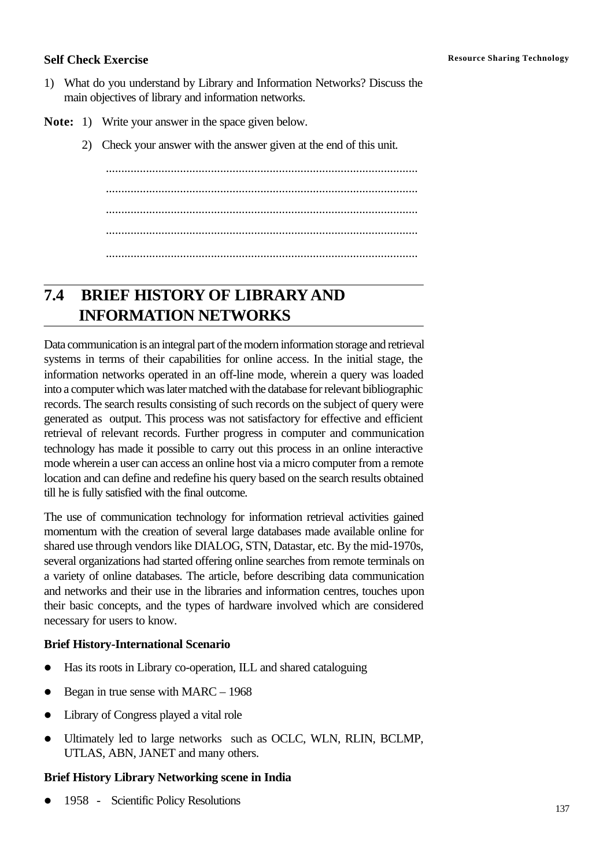- 1) What do you understand by Library and Information Networks? Discuss the main objectives of library and information networks.
- **Note:** 1) Write your answer in the space given below.
	- 2) Check your answer with the answer given at the end of this unit.

..................................................................................................... ..................................................................................................... ..................................................................................................... ..................................................................................................... .....................................................................................................

# **7.4 BRIEF HISTORY OF LIBRARYAND INFORMATION NETWORKS**

Data communication is an integral part of the modern information storage and retrieval systems in terms of their capabilities for online access. In the initial stage, the information networks operated in an off-line mode, wherein a query was loaded into a computer which was later matched with the database for relevant bibliographic records. The search results consisting of such records on the subject of query were generated as output. This process was not satisfactory for effective and efficient retrieval of relevant records. Further progress in computer and communication technology has made it possible to carry out this process in an online interactive mode wherein a user can access an online host via a micro computer from a remote location and can define and redefine his query based on the search results obtained till he is fully satisfied with the final outcome.

The use of communication technology for information retrieval activities gained momentum with the creation of several large databases made available online for shared use through vendors like DIALOG, STN, Datastar, etc. By the mid-1970s, several organizations had started offering online searches from remote terminals on a variety of online databases. The article, before describing data communication and networks and their use in the libraries and information centres, touches upon their basic concepts, and the types of hardware involved which are considered necessary for users to know.

## **Brief History-International Scenario**

- Has its roots in Library co-operation, ILL and shared cataloguing
- $\bullet$  Began in true sense with MARC 1968
- Library of Congress played a vital role
- Ultimately led to large networks such as OCLC, WLN, RLIN, BCLMP, UTLAS, ABN, JANET and many others.

## **Brief History Library Networking scene in India**

l 1958 - Scientific Policy Resolutions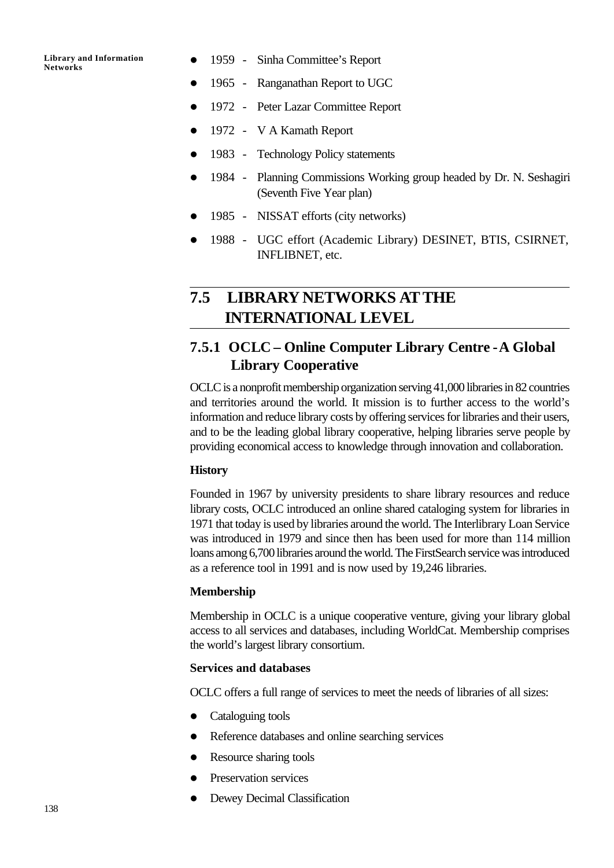- 1959 Sinha Committee's Report
- 1965 Ranganathan Report to UGC
- 1972 Peter Lazar Committee Report
- l 1972 V A Kamath Report
- l 1983 Technology Policy statements
- 1984 Planning Commissions Working group headed by Dr. N. Seshagiri (Seventh Five Year plan)
- l 1985 NISSAT efforts (city networks)
- 1988 UGC effort (Academic Library) DESINET, BTIS, CSIRNET, INFLIBNET, etc.

# **7.5 LIBRARY NETWORKS ATTHE INTERNATIONAL LEVEL**

## **7.5.1 OCLC – Online Computer Library Centre -A Global Library Cooperative**

OCLC is a nonprofit membership organization serving 41,000 libraries in 82 countries and territories around the world. It mission is to further access to the world's information and reduce library costs by offering services for libraries and their users, and to be the leading global library cooperative, helping libraries serve people by providing economical access to knowledge through innovation and collaboration.

#### **History**

Founded in 1967 by university presidents to share library resources and reduce library costs, OCLC introduced an online shared cataloging system for libraries in 1971 that today is used by libraries around the world. The Interlibrary Loan Service was introduced in 1979 and since then has been used for more than 114 million loans among 6,700 libraries around the world. The FirstSearch service was introduced as a reference tool in 1991 and is now used by 19,246 libraries.

#### **Membership**

Membership in OCLC is a unique cooperative venture, giving your library global access to all services and databases, including WorldCat. Membership comprises the world's largest library consortium.

#### **Services and databases**

OCLC offers a full range of services to meet the needs of libraries of all sizes:

- $\bullet$  Cataloguing tools
- Reference databases and online searching services
- Resource sharing tools
- Preservation services
- Dewey Decimal Classification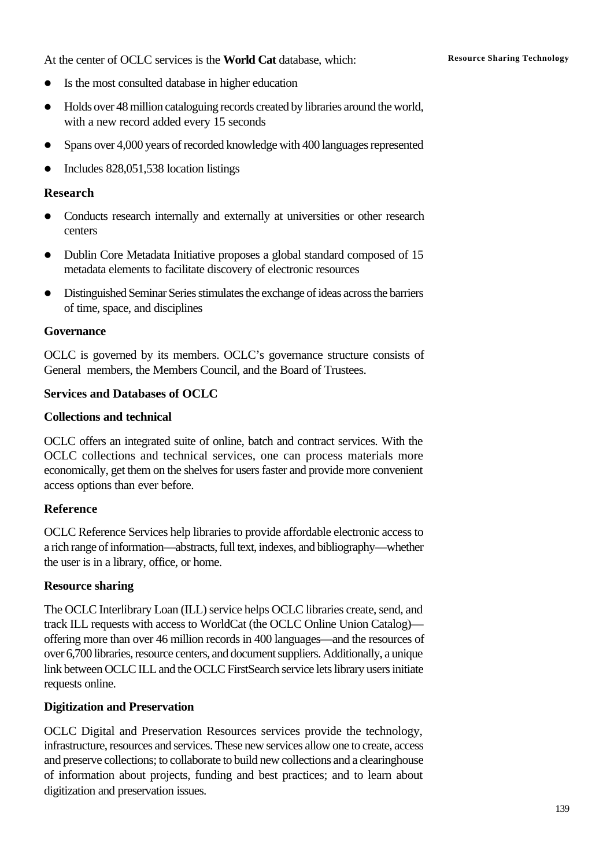At the center of OCLC services is the **World Cat** database, which: Resource Sharing Technology

- l Is the most consulted database in higher education
- Holds over 48 million cataloguing records created by libraries around the world, with a new record added every 15 seconds
- Spans over 4,000 years of recorded knowledge with 400 languages represented
- $\bullet$  Includes 828,051,538 location listings

## **Research**

- Conducts research internally and externally at universities or other research centers
- Dublin Core Metadata Initiative proposes a global standard composed of 15 metadata elements to facilitate discovery of electronic resources
- l Distinguished Seminar Series stimulates the exchange of ideas across the barriers of time, space, and disciplines

#### **Governance**

OCLC is governed by its members. OCLC's governance structure consists of General members, the Members Council, and the Board of Trustees.

## **Services and Databases of OCLC**

## **Collections and technical**

OCLC offers an integrated suite of online, batch and contract services. With the OCLC collections and technical services, one can process materials more economically, get them on the shelves for users faster and provide more convenient access options than ever before.

## **Reference**

OCLC Reference Services help libraries to provide affordable electronic access to a rich range of information—abstracts, full text, indexes, and bibliography—whether the user is in a library, office, or home.

## **Resource sharing**

The OCLC Interlibrary Loan (ILL) service helps OCLC libraries create, send, and track ILL requests with access to WorldCat (the OCLC Online Union Catalog) offering more than over 46 million records in 400 languages—and the resources of over 6,700 libraries, resource centers, and document suppliers. Additionally, a unique link between OCLC ILL and the OCLC FirstSearch service lets library users initiate requests online.

## **Digitization and Preservation**

OCLC Digital and Preservation Resources services provide the technology, infrastructure, resources and services. These new services allow one to create, access and preserve collections; to collaborate to build new collections and a clearinghouse of information about projects, funding and best practices; and to learn about digitization and preservation issues.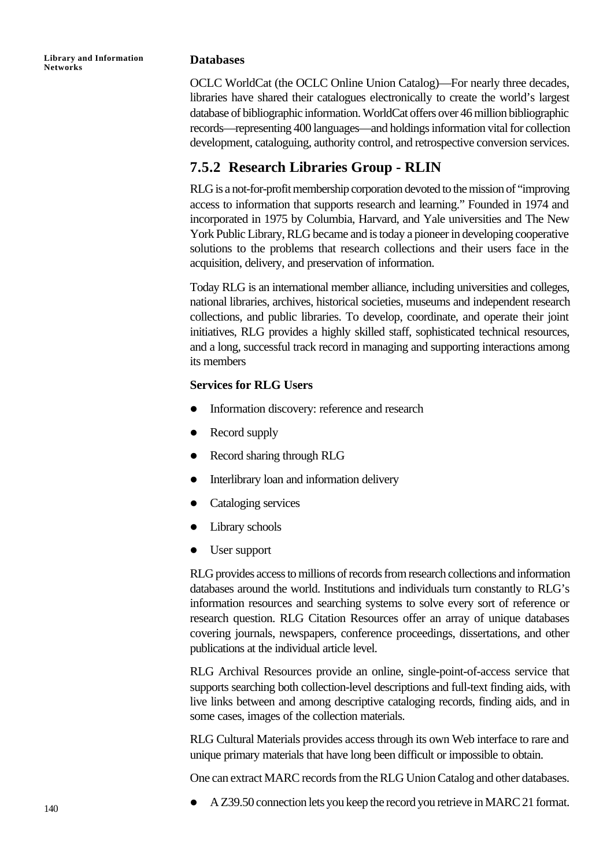#### **Databases**

OCLC WorldCat (the OCLC Online Union Catalog)—For nearly three decades, libraries have shared their catalogues electronically to create the world's largest database of bibliographic information. WorldCat offers over 46 million bibliographic records—representing 400 languages—and holdings information vital for collection development, cataloguing, authority control, and retrospective conversion services.

## **7.5.2 Research Libraries Group - RLIN**

RLG is a not-for-profit membership corporation devoted to the mission of "improving access to information that supports research and learning." Founded in 1974 and incorporated in 1975 by Columbia, Harvard, and Yale universities and The New York Public Library, RLG became and is today a pioneer in developing cooperative solutions to the problems that research collections and their users face in the acquisition, delivery, and preservation of information.

Today RLG is an international member alliance, including universities and colleges, national libraries, archives, historical societies, museums and independent research collections, and public libraries. To develop, coordinate, and operate their joint initiatives, RLG provides a highly skilled staff, sophisticated technical resources, and a long, successful track record in managing and supporting interactions among its members

#### **Services for RLG Users**

- Information discovery: reference and research
- $\bullet$  Record supply
- Record sharing through RLG
- Interlibrary loan and information delivery
- $\bullet$  Cataloging services
- Library schools
- $\bullet$  User support

RLG provides access to millions of records from research collections and information databases around the world. Institutions and individuals turn constantly to RLG's information resources and searching systems to solve every sort of reference or research question. RLG Citation Resources offer an array of unique databases covering journals, newspapers, conference proceedings, dissertations, and other publications at the individual article level.

RLG Archival Resources provide an online, single-point-of-access service that supports searching both collection-level descriptions and full-text finding aids, with live links between and among descriptive cataloging records, finding aids, and in some cases, images of the collection materials.

RLG Cultural Materials provides access through its own Web interface to rare and unique primary materials that have long been difficult or impossible to obtain.

One can extract MARC records from the RLG Union Catalog and other databases.

l A Z39.50 connection lets you keep the record you retrieve in MARC 21 format.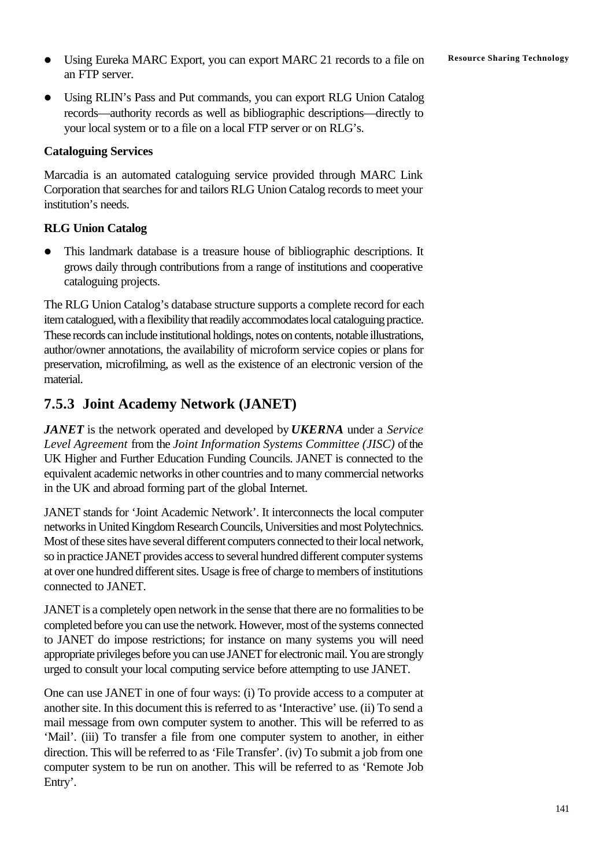- **•** Using Eureka MARC Export, you can export MARC 21 records to a file on **Resource Sharing Technology** an FTP server.
- Using RLIN's Pass and Put commands, you can export RLG Union Catalog records—authority records as well as bibliographic descriptions—directly to your local system or to a file on a local FTP server or on RLG's.

## **Cataloguing Services**

Marcadia is an automated cataloguing service provided through MARC Link Corporation that searches for and tailors RLG Union Catalog records to meet your institution's needs.

## **RLG Union Catalog**

• This landmark database is a treasure house of bibliographic descriptions. It grows daily through contributions from a range of institutions and cooperative cataloguing projects.

The RLG Union Catalog's database structure supports a complete record for each item catalogued, with a flexibility that readily accommodates local cataloguing practice. These records can include institutional holdings, notes on contents, notable illustrations, author/owner annotations, the availability of microform service copies or plans for preservation, microfilming, as well as the existence of an electronic version of the material.

## **7.5.3 Joint Academy Network (JANET)**

*JANET* is the network operated and developed by *UKERNA* under a *Service Level Agreement* from the *Joint Information Systems Committee (JISC)* of the UK Higher and Further Education Funding Councils. JANET is connected to the equivalent academic networks in other countries and to many commercial networks in the UK and abroad forming part of the global Internet.

JANET stands for 'Joint Academic Network'. It interconnects the local computer networks in United Kingdom Research Councils, Universities and most Polytechnics. Most of these sites have several different computers connected to their local network, so in practice JANET provides access to several hundred different computer systems at over one hundred different sites. Usage is free of charge to members of institutions connected to JANET.

JANET is a completely open network in the sense that there are no formalities to be completed before you can use the network. However, most of the systems connected to JANET do impose restrictions; for instance on many systems you will need appropriate privileges before you can use JANET for electronic mail. You are strongly urged to consult your local computing service before attempting to use JANET.

One can use JANET in one of four ways: (i) To provide access to a computer at another site. In this document this is referred to as 'Interactive' use. (ii) To send a mail message from own computer system to another. This will be referred to as 'Mail'. (iii) To transfer a file from one computer system to another, in either direction. This will be referred to as 'File Transfer'. (iv) To submit a job from one computer system to be run on another. This will be referred to as 'Remote Job Entry'.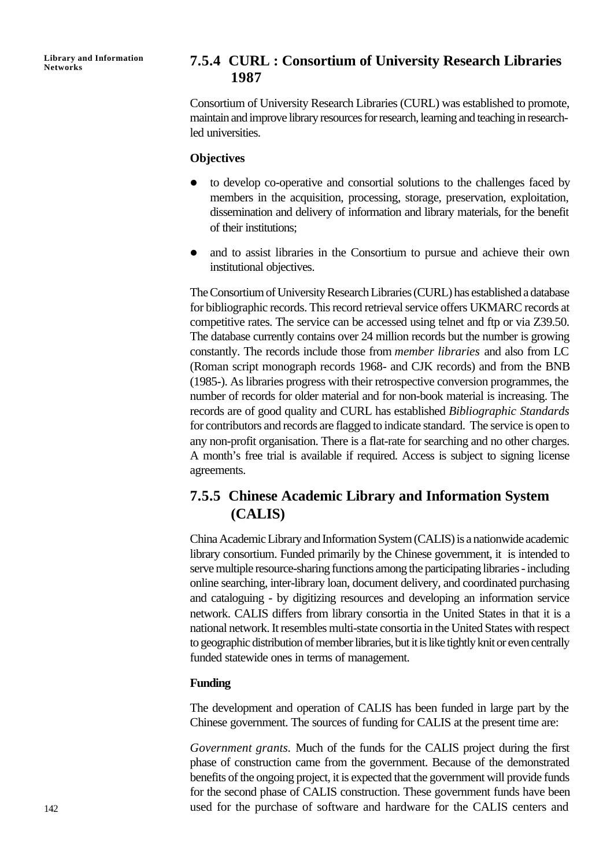## **Networks 7.5.4 CURL : Consortium of University Research Libraries 1987**

Consortium of University Research Libraries (CURL) was established to promote, maintain and improve library resources for research, learning and teaching in researchled universities.

## **Objectives**

- to develop co-operative and consortial solutions to the challenges faced by members in the acquisition, processing, storage, preservation, exploitation, dissemination and delivery of information and library materials, for the benefit of their institutions;
- and to assist libraries in the Consortium to pursue and achieve their own institutional objectives.

The Consortium of University Research Libraries (CURL) has established a database for bibliographic records. This record retrieval service offers UKMARC records at competitive rates. The service can be accessed using telnet and ftp or via Z39.50. The database currently contains over 24 million records but the number is growing constantly. The records include those from *member libraries* and also from LC (Roman script monograph records 1968- and CJK records) and from the BNB (1985-). As libraries progress with their retrospective conversion programmes, the number of records for older material and for non-book material is increasing. The records are of good quality and CURL has established *Bibliographic Standards* for contributors and records are flagged to indicate standard. The service is open to any non-profit organisation. There is a flat-rate for searching and no other charges. A month's free trial is available if required. Access is subject to signing license agreements.

## **7.5.5 Chinese Academic Library and Information System (CALIS)**

China Academic Library and Information System (CALIS) is a nationwide academic library consortium. Funded primarily by the Chinese government, it is intended to serve multiple resource-sharing functions among the participating libraries - including online searching, inter-library loan, document delivery, and coordinated purchasing and cataloguing - by digitizing resources and developing an information service network. CALIS differs from library consortia in the United States in that it is a national network. It resembles multi-state consortia in the United States with respect to geographic distribution of member libraries, but it is like tightly knit or even centrally funded statewide ones in terms of management.

## **Funding**

The development and operation of CALIS has been funded in large part by the Chinese government. The sources of funding for CALIS at the present time are:

*Government grants.* Much of the funds for the CALIS project during the first phase of construction came from the government. Because of the demonstrated benefits of the ongoing project, it is expected that the government will provide funds for the second phase of CALIS construction. These government funds have been used for the purchase of software and hardware for the CALIS centers and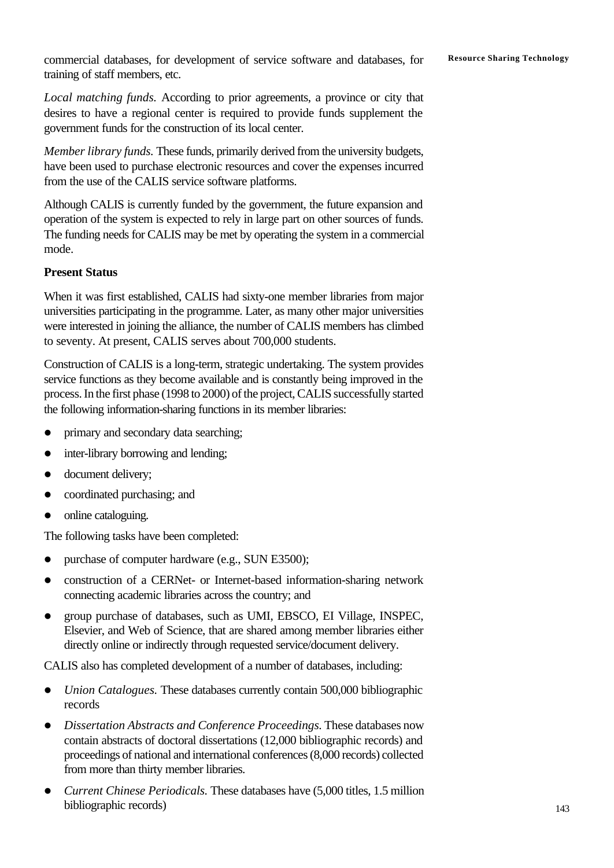commercial databases, for development of service software and databases, for Resource Sharing Technology training of staff members, etc.

*Local matching funds.* According to prior agreements, a province or city that desires to have a regional center is required to provide funds supplement the government funds for the construction of its local center.

*Member library funds.* These funds, primarily derived from the university budgets, have been used to purchase electronic resources and cover the expenses incurred from the use of the CALIS service software platforms.

Although CALIS is currently funded by the government, the future expansion and operation of the system is expected to rely in large part on other sources of funds. The funding needs for CALIS may be met by operating the system in a commercial mode.

## **Present Status**

When it was first established, CALIS had sixty-one member libraries from major universities participating in the programme. Later, as many other major universities were interested in joining the alliance, the number of CALIS members has climbed to seventy. At present, CALIS serves about 700,000 students.

Construction of CALIS is a long-term, strategic undertaking. The system provides service functions as they become available and is constantly being improved in the process. In the first phase (1998 to 2000) of the project, CALIS successfully started the following information-sharing functions in its member libraries:

- primary and secondary data searching;
- inter-library borrowing and lending;
- document delivery;
- coordinated purchasing; and
- $\bullet$  online cataloguing.

The following tasks have been completed:

- purchase of computer hardware (e.g., SUN E3500);
- construction of a CERNet- or Internet-based information-sharing network connecting academic libraries across the country; and
- group purchase of databases, such as UMI, EBSCO, EI Village, INSPEC, Elsevier, and Web of Science, that are shared among member libraries either directly online or indirectly through requested service/document delivery.

CALIS also has completed development of a number of databases, including:

- *Union Catalogues*. These databases currently contain 500,000 bibliographic records
- **•** *Dissertation Abstracts and Conference Proceedings. These databases now* contain abstracts of doctoral dissertations (12,000 bibliographic records) and proceedings of national and international conferences (8,000 records) collected from more than thirty member libraries.
- l *Current Chinese Periodicals.* These databases have (5,000 titles, 1.5 million bibliographic records)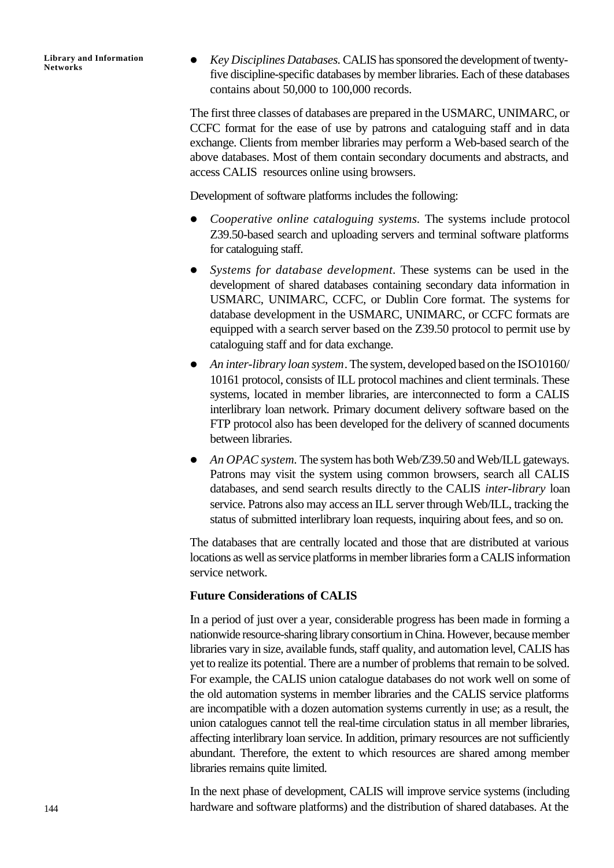l *Key Disciplines Databases.* CALIS has sponsored the development of twentyfive discipline-specific databases by member libraries. Each of these databases contains about 50,000 to 100,000 records.

The first three classes of databases are prepared in the USMARC, UNIMARC, or CCFC format for the ease of use by patrons and cataloguing staff and in data exchange. Clients from member libraries may perform a Web-based search of the above databases. Most of them contain secondary documents and abstracts, and access CALIS resources online using browsers.

Development of software platforms includes the following:

- l *Cooperative online cataloguing systems.* The systems include protocol Z39.50-based search and uploading servers and terminal software platforms for cataloguing staff.
- l *Systems for database development.* These systems can be used in the development of shared databases containing secondary data information in USMARC, UNIMARC, CCFC, or Dublin Core format. The systems for database development in the USMARC, UNIMARC, or CCFC formats are equipped with a search server based on the Z39.50 protocol to permit use by cataloguing staff and for data exchange.
- An inter-library loan system. The system, developed based on the ISO10160/ 10161 protocol, consists of ILL protocol machines and client terminals. These systems, located in member libraries, are interconnected to form a CALIS interlibrary loan network. Primary document delivery software based on the FTP protocol also has been developed for the delivery of scanned documents between libraries.
- An OPAC system. The system has both Web/Z39.50 and Web/ILL gateways. Patrons may visit the system using common browsers, search all CALIS databases, and send search results directly to the CALIS *inter-library* loan service. Patrons also may access an ILL server through Web/ILL, tracking the status of submitted interlibrary loan requests, inquiring about fees, and so on.

The databases that are centrally located and those that are distributed at various locations as well as service platforms in member libraries form a CALIS information service network.

## **Future Considerations of CALIS**

In a period of just over a year, considerable progress has been made in forming a nationwide resource-sharing library consortium in China. However, because member libraries vary in size, available funds, staff quality, and automation level, CALIS has yet to realize its potential. There are a number of problems that remain to be solved. For example, the CALIS union catalogue databases do not work well on some of the old automation systems in member libraries and the CALIS service platforms are incompatible with a dozen automation systems currently in use; as a result, the union catalogues cannot tell the real-time circulation status in all member libraries, affecting interlibrary loan service. In addition, primary resources are not sufficiently abundant. Therefore, the extent to which resources are shared among member libraries remains quite limited.

In the next phase of development, CALIS will improve service systems (including hardware and software platforms) and the distribution of shared databases. At the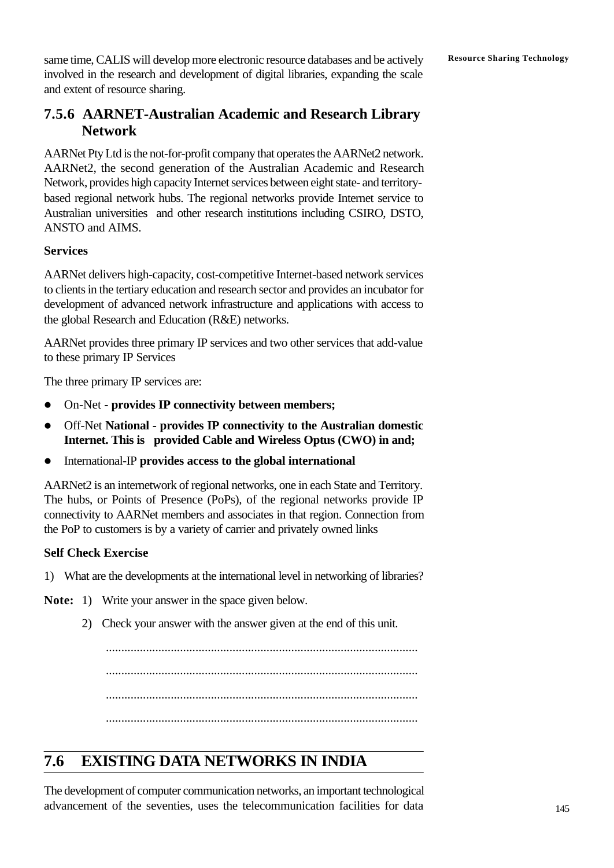same time, CALIS will develop more electronic resource databases and be actively Resource Sharing Technology involved in the research and development of digital libraries, expanding the scale and extent of resource sharing.

## **7.5.6 AARNET-Australian Academic and Research Library Network**

AARNet Pty Ltd is the not-for-profit company that operates the AARNet2 network. AARNet2, the second generation of the Australian Academic and Research Network, provides high capacity Internet services between eight state- and territorybased regional network hubs. The regional networks provide Internet service to Australian universities and other research institutions including CSIRO, DSTO, ANSTO and AIMS.

## **Services**

AARNet delivers high-capacity, cost-competitive Internet-based network services to clients in the tertiary education and research sector and provides an incubator for development of advanced network infrastructure and applications with access to the global Research and Education (R&E) networks.

AARNet provides three primary IP services and two other services that add-value to these primary IP Services

The three primary IP services are:

- **•** On-Net provides IP connectivity between members;
- **•** Off-Net **National provides IP connectivity to the Australian domestic Internet. This is provided Cable and Wireless Optus (CWO) in and;**
- **•** International-IP provides access to the global international

AARNet2 is an internetwork of regional networks, one in each State and Territory. The hubs, or Points of Presence (PoPs), of the regional networks provide IP connectivity to AARNet members and associates in that region. Connection from the PoP to customers is by a variety of carrier and privately owned links

## **Self Check Exercise**

- 1) What are the developments at the international level in networking of libraries?
- **Note:** 1) Write your answer in the space given below.
	- 2) Check your answer with the answer given at the end of this unit.

..................................................................................................... ..................................................................................................... ..................................................................................................... .....................................................................................................

# **7.6 EXISTING DATA NETWORKS IN INDIA**

The development of computer communication networks, an important technological advancement of the seventies, uses the telecommunication facilities for data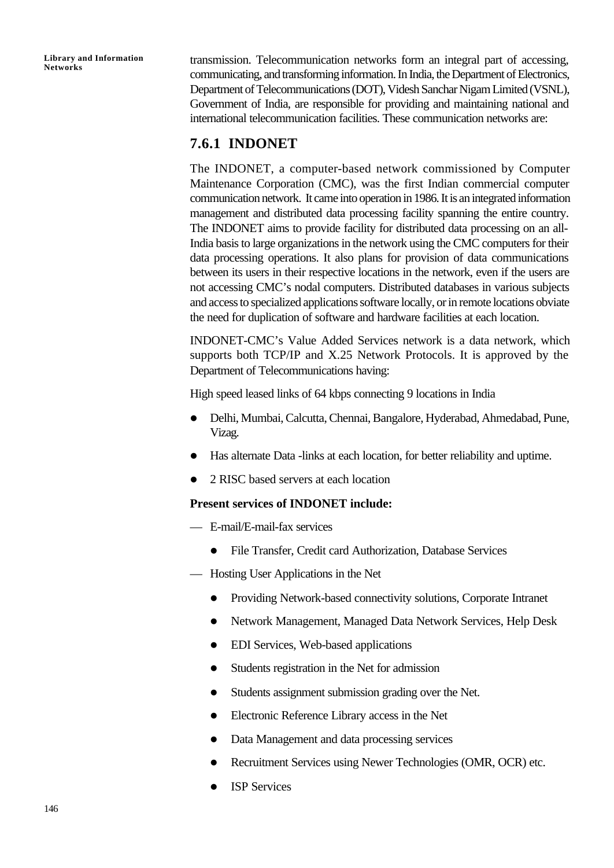transmission. Telecommunication networks form an integral part of accessing, communicating, and transforming information. In India, the Department of Electronics, Department of Telecommunications (DOT), Videsh Sanchar Nigam Limited (VSNL), Government of India, are responsible for providing and maintaining national and international telecommunication facilities. These communication networks are:

## **7.6.1 INDONET**

The INDONET, a computer-based network commissioned by Computer Maintenance Corporation (CMC), was the first Indian commercial computer communication network. It came into operation in 1986. It is an integrated information management and distributed data processing facility spanning the entire country. The INDONET aims to provide facility for distributed data processing on an all-India basis to large organizations in the network using the CMC computers for their data processing operations. It also plans for provision of data communications between its users in their respective locations in the network, even if the users are not accessing CMC's nodal computers. Distributed databases in various subjects and access to specialized applications software locally, or in remote locations obviate the need for duplication of software and hardware facilities at each location.

INDONET-CMC's Value Added Services network is a data network, which supports both TCP/IP and X.25 Network Protocols. It is approved by the Department of Telecommunications having:

High speed leased links of 64 kbps connecting 9 locations in India

- l Delhi, Mumbai, Calcutta, Chennai, Bangalore, Hyderabad, Ahmedabad, Pune, Vizag.
- Has alternate Data -links at each location, for better reliability and uptime.
- 2 RISC based servers at each location

#### **Present services of INDONET include:**

- E-mail/E-mail-fax services
	- l File Transfer, Credit card Authorization, Database Services
- Hosting User Applications in the Net
	- Providing Network-based connectivity solutions, Corporate Intranet
	- **•** Network Management, Managed Data Network Services, Help Desk
	- EDI Services, Web-based applications
	- Students registration in the Net for admission
	- Students assignment submission grading over the Net.
	- l Electronic Reference Library access in the Net
	- Data Management and data processing services
	- l Recruitment Services using Newer Technologies (OMR, OCR) etc.
	- l ISP Services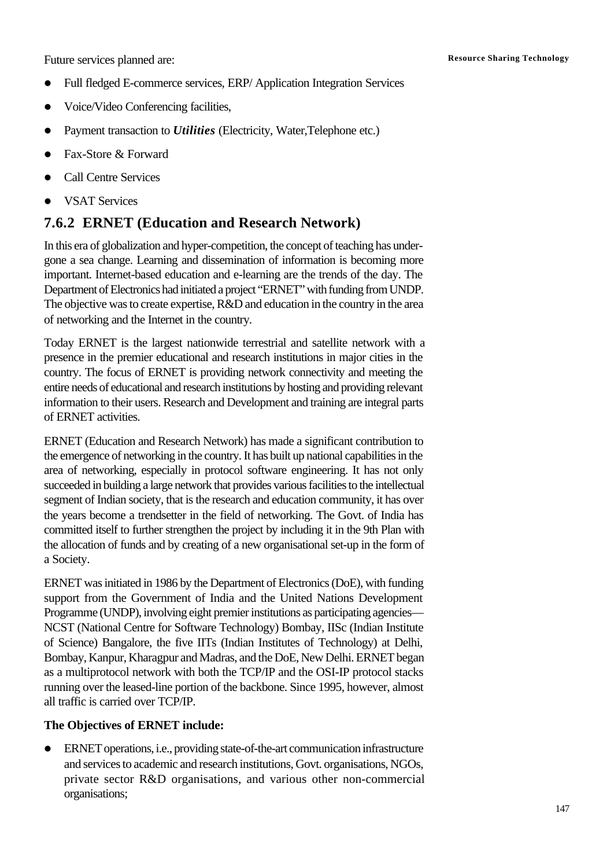Future services planned are: **Resource Sharing Technology** 

- Full fledged E-commerce services, ERP/ Application Integration Services
- l Voice/Video Conferencing facilities,
- Payment transaction to *Utilities* (Electricity, Water, Telephone etc.)
- Fax-Store & Forward
- **Call Centre Services**
- **VSAT Services**

## **7.6.2 ERNET (Education and Research Network)**

In this era of globalization and hyper-competition, the concept of teaching has undergone a sea change. Learning and dissemination of information is becoming more important. Internet-based education and e-learning are the trends of the day. The Department of Electronics had initiated a project "ERNET" with funding from UNDP. The objective was to create expertise, R&D and education in the country in the area of networking and the Internet in the country.

Today ERNET is the largest nationwide terrestrial and satellite network with a presence in the premier educational and research institutions in major cities in the country. The focus of ERNET is providing network connectivity and meeting the entire needs of educational and research institutions by hosting and providing relevant information to their users. Research and Development and training are integral parts of ERNET activities.

ERNET (Education and Research Network) has made a significant contribution to the emergence of networking in the country. It has built up national capabilities in the area of networking, especially in protocol software engineering. It has not only succeeded in building a large network that provides various facilities to the intellectual segment of Indian society, that is the research and education community, it has over the years become a trendsetter in the field of networking. The Govt. of India has committed itself to further strengthen the project by including it in the 9th Plan with the allocation of funds and by creating of a new organisational set-up in the form of a Society.

ERNET was initiated in 1986 by the Department of Electronics (DoE), with funding support from the Government of India and the United Nations Development Programme (UNDP), involving eight premier institutions as participating agencies— NCST (National Centre for Software Technology) Bombay, IISc (Indian Institute of Science) Bangalore, the five IITs (Indian Institutes of Technology) at Delhi, Bombay, Kanpur, Kharagpur and Madras, and the DoE, New Delhi. ERNET began as a multiprotocol network with both the TCP/IP and the OSI-IP protocol stacks running over the leased-line portion of the backbone. Since 1995, however, almost all traffic is carried over TCP/IP.

## **The Objectives of ERNET include:**

l ERNET operations, i.e., providing state-of-the-art communication infrastructure and services to academic and research institutions, Govt. organisations, NGOs, private sector R&D organisations, and various other non-commercial organisations;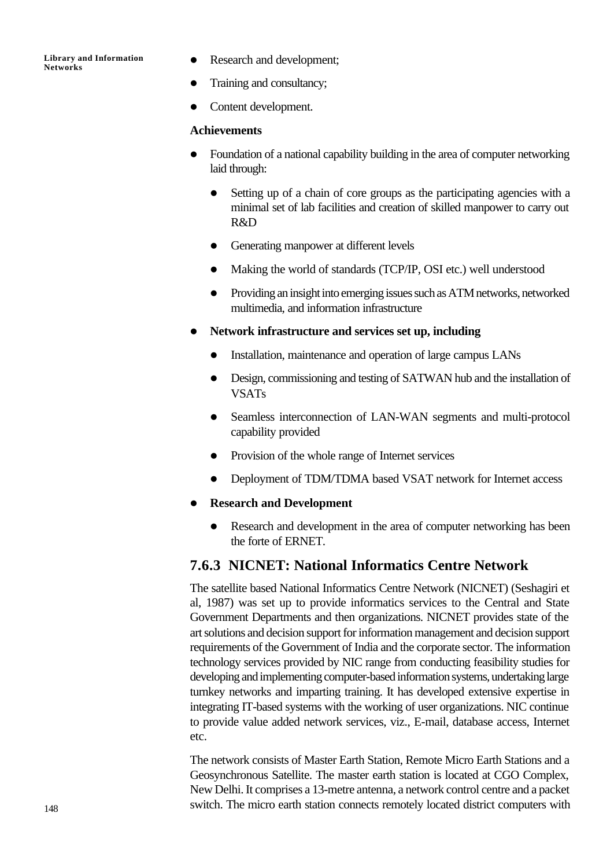- Research and development;
- Training and consultancy;
- Content development.

## **Achievements**

- l Foundation of a national capability building in the area of computer networking laid through:
	- Setting up of a chain of core groups as the participating agencies with a minimal set of lab facilities and creation of skilled manpower to carry out R&D
	- Generating manpower at different levels
	- l Making the world of standards (TCP/IP, OSI etc.) well understood
	- l Providing an insight into emerging issues such as ATM networks, networked multimedia, and information infrastructure
- l **Network infrastructure and services set up, including**
	- Installation, maintenance and operation of large campus LANs
	- Design, commissioning and testing of SATWAN hub and the installation of VSATs
	- Seamless interconnection of LAN-WAN segments and multi-protocol capability provided
	- Provision of the whole range of Internet services
	- l Deployment of TDM/TDMA based VSAT network for Internet access
- **•** Research and Development
	- Research and development in the area of computer networking has been the forte of ERNET.

## **7.6.3 NICNET: National Informatics Centre Network**

The satellite based National Informatics Centre Network (NICNET) (Seshagiri et al, 1987) was set up to provide informatics services to the Central and State Government Departments and then organizations. NICNET provides state of the art solutions and decision support for information management and decision support requirements of the Government of India and the corporate sector. The information technology services provided by NIC range from conducting feasibility studies for developing and implementing computer-based information systems, undertaking large turnkey networks and imparting training. It has developed extensive expertise in integrating IT-based systems with the working of user organizations. NIC continue to provide value added network services, viz., E-mail, database access, Internet etc.

The network consists of Master Earth Station, Remote Micro Earth Stations and a Geosynchronous Satellite. The master earth station is located at CGO Complex, New Delhi. It comprises a 13-metre antenna, a network control centre and a packet switch. The micro earth station connects remotely located district computers with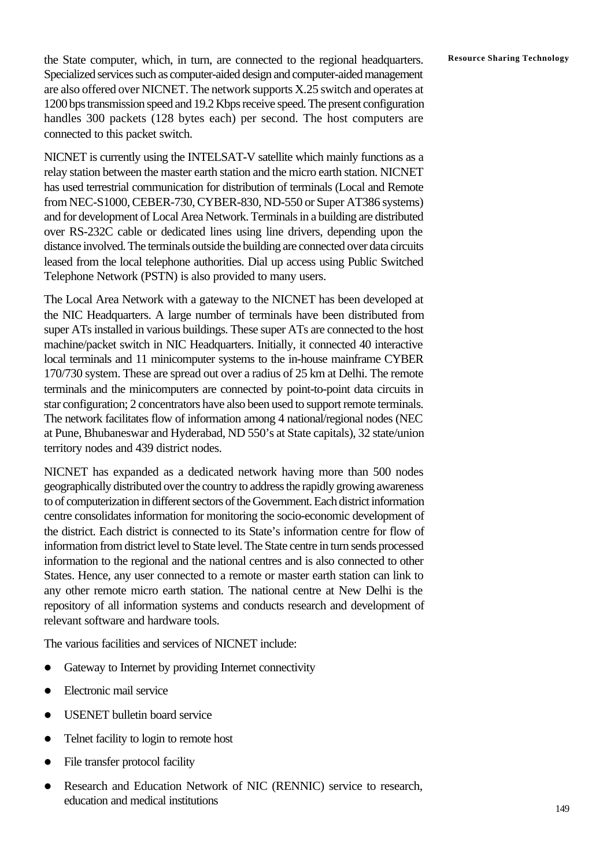**Resource Sharing Technology** the State computer, which, in turn, are connected to the regional headquarters. Specialized services such as computer-aided design and computer-aided management are also offered over NICNET. The network supports X.25 switch and operates at 1200 bps transmission speed and 19.2 Kbps receive speed. The present configuration handles 300 packets (128 bytes each) per second. The host computers are connected to this packet switch.

NICNET is currently using the INTELSAT-V satellite which mainly functions as a relay station between the master earth station and the micro earth station. NICNET has used terrestrial communication for distribution of terminals (Local and Remote from NEC-S1000, CEBER-730, CYBER-830, ND-550 or Super AT386 systems) and for development of Local Area Network. Terminals in a building are distributed over RS-232C cable or dedicated lines using line drivers, depending upon the distance involved. The terminals outside the building are connected over data circuits leased from the local telephone authorities. Dial up access using Public Switched Telephone Network (PSTN) is also provided to many users.

The Local Area Network with a gateway to the NICNET has been developed at the NIC Headquarters. A large number of terminals have been distributed from super ATs installed in various buildings. These super ATs are connected to the host machine/packet switch in NIC Headquarters. Initially, it connected 40 interactive local terminals and 11 minicomputer systems to the in-house mainframe CYBER 170/730 system. These are spread out over a radius of 25 km at Delhi. The remote terminals and the minicomputers are connected by point-to-point data circuits in star configuration; 2 concentrators have also been used to support remote terminals. The network facilitates flow of information among 4 national/regional nodes (NEC at Pune, Bhubaneswar and Hyderabad, ND 550's at State capitals), 32 state/union territory nodes and 439 district nodes.

NICNET has expanded as a dedicated network having more than 500 nodes geographically distributed over the country to address the rapidly growing awareness to of computerization in different sectors of the Government. Each district information centre consolidates information for monitoring the socio-economic development of the district. Each district is connected to its State's information centre for flow of information from district level to State level. The State centre in turn sends processed information to the regional and the national centres and is also connected to other States. Hence, any user connected to a remote or master earth station can link to any other remote micro earth station. The national centre at New Delhi is the repository of all information systems and conducts research and development of relevant software and hardware tools.

The various facilities and services of NICNET include:

- Gateway to Internet by providing Internet connectivity
- Electronic mail service
- USENET bulletin board service
- Telnet facility to login to remote host
- File transfer protocol facility
- Research and Education Network of NIC (RENNIC) service to research, education and medical institutions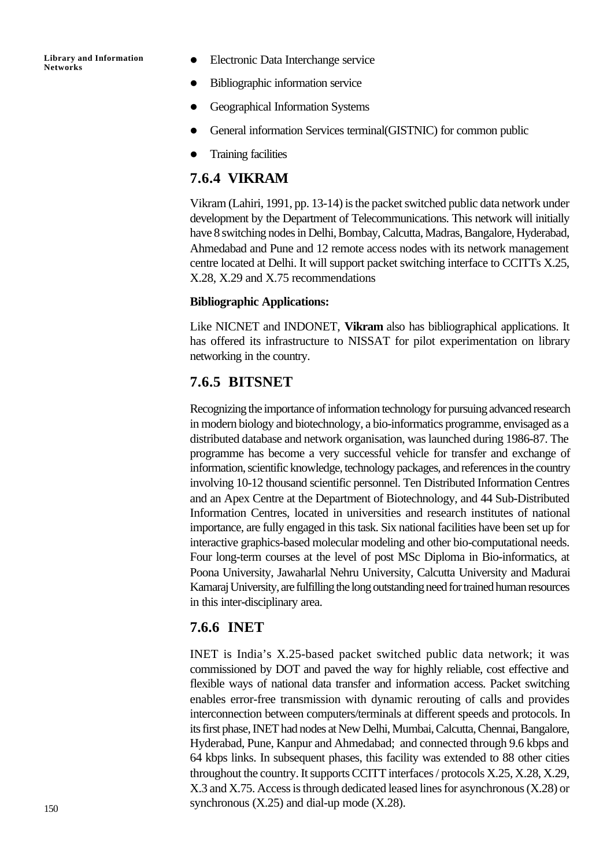- Electronic Data Interchange service
- Bibliographic information service
- Geographical Information Systems
- General information Services terminal(GISTNIC) for common public
- **Training facilities**

## **7.6.4 VIKRAM**

Vikram (Lahiri, 1991, pp. 13-14) is the packet switched public data network under development by the Department of Telecommunications. This network will initially have 8 switching nodes in Delhi, Bombay, Calcutta, Madras, Bangalore, Hyderabad, Ahmedabad and Pune and 12 remote access nodes with its network management centre located at Delhi. It will support packet switching interface to CCITTs X.25, X.28, X.29 and X.75 recommendations

## **Bibliographic Applications:**

Like NICNET and INDONET, **Vikram** also has bibliographical applications. It has offered its infrastructure to NISSAT for pilot experimentation on library networking in the country.

## **7.6.5 BITSNET**

Recognizing the importance of information technology for pursuing advanced research in modern biology and biotechnology, a bio-informatics programme, envisaged as a distributed database and network organisation, was launched during 1986-87. The programme has become a very successful vehicle for transfer and exchange of information, scientific knowledge, technology packages, and references in the country involving 10-12 thousand scientific personnel. Ten Distributed Information Centres and an Apex Centre at the Department of Biotechnology, and 44 Sub-Distributed Information Centres, located in universities and research institutes of national importance, are fully engaged in this task. Six national facilities have been set up for interactive graphics-based molecular modeling and other bio-computational needs. Four long-term courses at the level of post MSc Diploma in Bio-informatics, at Poona University, Jawaharlal Nehru University, Calcutta University and Madurai Kamaraj University, are fulfilling the long outstanding need for trained human resources in this inter-disciplinary area.

## **7.6.6 INET**

INET is India's X.25-based packet switched public data network; it was commissioned by DOT and paved the way for highly reliable, cost effective and flexible ways of national data transfer and information access. Packet switching enables error-free transmission with dynamic rerouting of calls and provides interconnection between computers/terminals at different speeds and protocols. In its first phase, INET had nodes at New Delhi, Mumbai, Calcutta, Chennai, Bangalore, Hyderabad, Pune, Kanpur and Ahmedabad; and connected through 9.6 kbps and 64 kbps links. In subsequent phases, this facility was extended to 88 other cities throughout the country. It supports CCITT interfaces / protocols X.25, X.28, X.29, X.3 and X.75. Access is through dedicated leased lines for asynchronous (X.28) or synchronous  $(X.25)$  and dial-up mode  $(X.28)$ .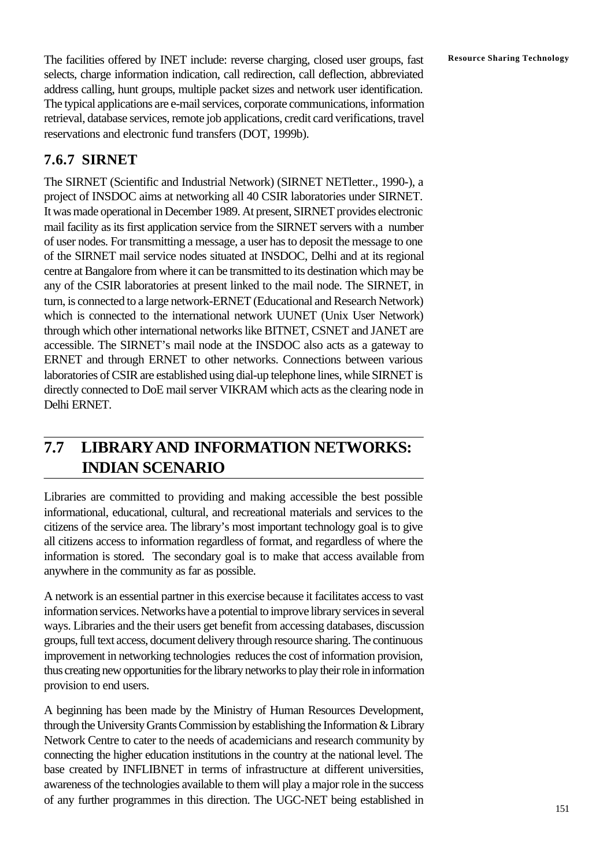The facilities offered by INET include: reverse charging, closed user groups, fast Resource Sharing Technology selects, charge information indication, call redirection, call deflection, abbreviated address calling, hunt groups, multiple packet sizes and network user identification. The typical applications are e-mail services, corporate communications, information retrieval, database services, remote job applications, credit card verifications, travel reservations and electronic fund transfers (DOT, 1999b).

## **7.6.7 SIRNET**

The SIRNET (Scientific and Industrial Network) (SIRNET NETletter., 1990-), a project of INSDOC aims at networking all 40 CSIR laboratories under SIRNET. It was made operational in December 1989. At present, SIRNET provides electronic mail facility as its first application service from the SIRNET servers with a number of user nodes. For transmitting a message, a user has to deposit the message to one of the SIRNET mail service nodes situated at INSDOC, Delhi and at its regional centre at Bangalore from where it can be transmitted to its destination which may be any of the CSIR laboratories at present linked to the mail node. The SIRNET, in turn, is connected to a large network-ERNET (Educational and Research Network) which is connected to the international network UUNET (Unix User Network) through which other international networks like BITNET, CSNET and JANET are accessible. The SIRNET's mail node at the INSDOC also acts as a gateway to ERNET and through ERNET to other networks. Connections between various laboratories of CSIR are established using dial-up telephone lines, while SIRNET is directly connected to DoE mail server VIKRAM which acts as the clearing node in Delhi ERNET.

# **7.7 LIBRARYAND INFORMATION NETWORKS: INDIAN SCENARIO**

Libraries are committed to providing and making accessible the best possible informational, educational, cultural, and recreational materials and services to the citizens of the service area. The library's most important technology goal is to give all citizens access to information regardless of format, and regardless of where the information is stored. The secondary goal is to make that access available from anywhere in the community as far as possible.

A network is an essential partner in this exercise because it facilitates access to vast information services. Networks have a potential to improve library services in several ways. Libraries and the their users get benefit from accessing databases, discussion groups, full text access, document delivery through resource sharing. The continuous improvement in networking technologies reduces the cost of information provision, thus creating new opportunities for the library networks to play their role in information provision to end users.

A beginning has been made by the Ministry of Human Resources Development, through the University Grants Commission by establishing the Information & Library Network Centre to cater to the needs of academicians and research community by connecting the higher education institutions in the country at the national level. The base created by INFLIBNET in terms of infrastructure at different universities, awareness of the technologies available to them will play a major role in the success of any further programmes in this direction. The UGC-NET being established in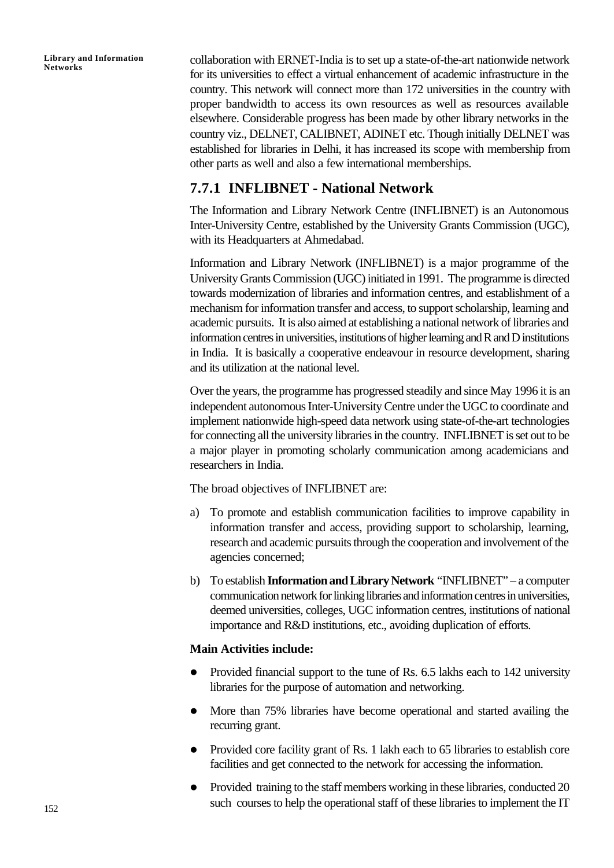collaboration with ERNET-India is to set up a state-of-the-art nationwide network for its universities to effect a virtual enhancement of academic infrastructure in the country. This network will connect more than 172 universities in the country with proper bandwidth to access its own resources as well as resources available elsewhere. Considerable progress has been made by other library networks in the country viz., DELNET, CALIBNET, ADINET etc. Though initially DELNET was established for libraries in Delhi, it has increased its scope with membership from other parts as well and also a few international memberships.

## **7.7.1 INFLIBNET - National Network**

The Information and Library Network Centre (INFLIBNET) is an Autonomous Inter-University Centre, established by the University Grants Commission (UGC), with its Headquarters at Ahmedabad.

Information and Library Network (INFLIBNET) is a major programme of the University Grants Commission (UGC) initiated in 1991. The programme is directed towards modernization of libraries and information centres, and establishment of a mechanism for information transfer and access, to support scholarship, learning and academic pursuits. It is also aimed at establishing a national network of libraries and information centres in universities, institutions of higher learning and R and D institutions in India. It is basically a cooperative endeavour in resource development, sharing and its utilization at the national level.

Over the years, the programme has progressed steadily and since May 1996 it is an independent autonomous Inter-University Centre under the UGC to coordinate and implement nationwide high-speed data network using state-of-the-art technologies for connecting all the university libraries in the country. INFLIBNET is set out to be a major player in promoting scholarly communication among academicians and researchers in India.

The broad objectives of INFLIBNET are:

- a) To promote and establish communication facilities to improve capability in information transfer and access, providing support to scholarship, learning, research and academic pursuits through the cooperation and involvement of the agencies concerned;
- b) To establish **Information and Library Network** "INFLIBNET" a computer communication network for linking libraries and information centres in universities, deemed universities, colleges, UGC information centres, institutions of national importance and R&D institutions, etc., avoiding duplication of efforts.

## **Main Activities include:**

- Provided financial support to the tune of Rs. 6.5 lakhs each to 142 university libraries for the purpose of automation and networking.
- More than 75% libraries have become operational and started availing the recurring grant.
- Provided core facility grant of Rs. 1 lakh each to 65 libraries to establish core facilities and get connected to the network for accessing the information.
- Provided training to the staff members working in these libraries, conducted 20 such courses to help the operational staff of these libraries to implement the IT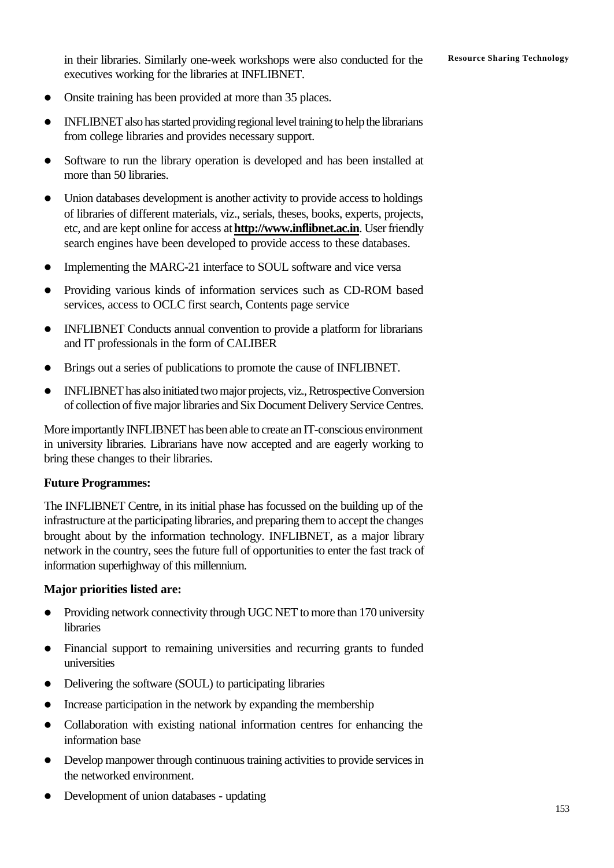in their libraries. Similarly one-week workshops were also conducted for the Resource Sharing Technology executives working for the libraries at INFLIBNET.

- Onsite training has been provided at more than 35 places.
- INFLIBNET also has started providing regional level training to help the librarians from college libraries and provides necessary support.
- Software to run the library operation is developed and has been installed at more than 50 libraries.
- $\bullet$  Union databases development is another activity to provide access to holdings of libraries of different materials, viz., serials, theses, books, experts, projects, etc, and are kept online for access at **http://www.inflibnet.ac.in**. User friendly search engines have been developed to provide access to these databases.
- Implementing the MARC-21 interface to SOUL software and vice versa
- Providing various kinds of information services such as CD-ROM based services, access to OCLC first search, Contents page service
- INFLIBNET Conducts annual convention to provide a platform for librarians and IT professionals in the form of CALIBER
- Brings out a series of publications to promote the cause of INFLIBNET.
- INFLIBNET has also initiated two major projects, viz., Retrospective Conversion of collection of five major libraries and Six Document Delivery Service Centres.

More importantly INFLIBNET has been able to create an IT-conscious environment in university libraries. Librarians have now accepted and are eagerly working to bring these changes to their libraries.

## **Future Programmes:**

The INFLIBNET Centre, in its initial phase has focussed on the building up of the infrastructure at the participating libraries, and preparing them to accept the changes brought about by the information technology. INFLIBNET, as a major library network in the country, sees the future full of opportunities to enter the fast track of information superhighway of this millennium.

## **Major priorities listed are:**

- Providing network connectivity through UGC NET to more than 170 university libraries
- Financial support to remaining universities and recurring grants to funded universities
- Delivering the software (SOUL) to participating libraries
- Increase participation in the network by expanding the membership
- Collaboration with existing national information centres for enhancing the information base
- Develop manpower through continuous training activities to provide services in the networked environment.
- l Development of union databases updating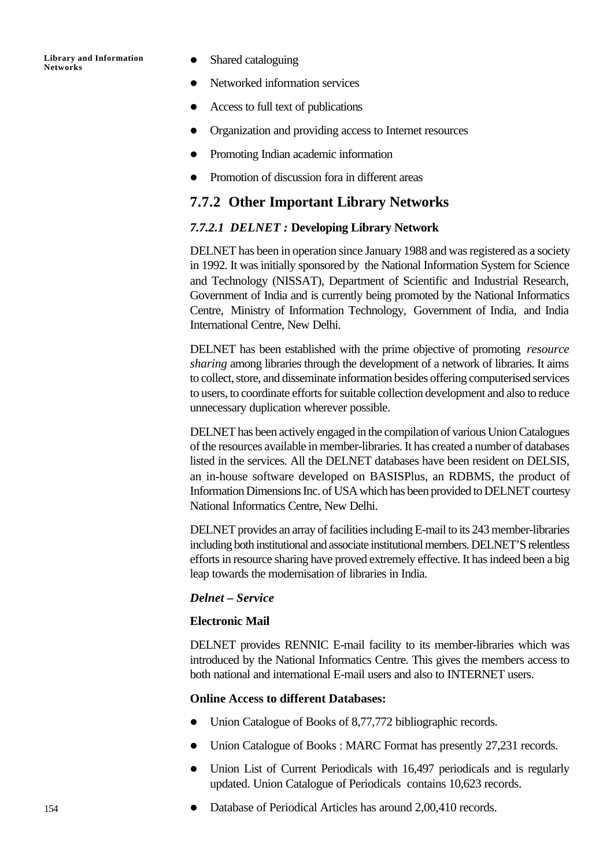- Shared cataloguing
- Networked information services
- $\bullet$  Access to full text of publications
- Organization and providing access to Internet resources
- Promoting Indian academic information
- Promotion of discussion fora in different areas

## **7.7.2 Other Important Library Networks**

#### *7.7.2.1 DELNET :* **Developing Library Network**

DELNET has been in operation since January 1988 and was registered as a society in 1992. It was initially sponsored by the National Information System for Science and Technology (NISSAT), Department of Scientific and Industrial Research, Government of India and is currently being promoted by the National Informatics Centre, Ministry of Information Technology, Government of India, and India International Centre, New Delhi.

DELNET has been established with the prime objective of promoting *resource sharing* among libraries through the development of a network of libraries. It aims to collect, store, and disseminate information besides offering computerised services to users, to coordinate efforts for suitable collection development and also to reduce unnecessary duplication wherever possible.

DELNET has been actively engaged in the compilation of various Union Catalogues of the resources available in member-libraries. It has created a number of databases listed in the services. All the DELNET databases have been resident on DELSIS, an in-house software developed on BASISPlus, an RDBMS, the product of Information Dimensions Inc. of USA which has been provided to DELNET courtesy National Informatics Centre, New Delhi.

DELNET provides an array of facilities including E-mail to its 243 member-libraries including both institutional and associate institutional members. DELNET'S relentless efforts in resource sharing have proved extremely effective. It has indeed been a big leap towards the modernisation of libraries in India.

## *Delnet – Service*

#### **Electronic Mail**

DELNET provides RENNIC E-mail facility to its member-libraries which was introduced by the National Informatics Centre. This gives the members access to both national and international E-mail users and also to INTERNET users.

#### **Online Access to different Databases:**

- Union Catalogue of Books of 8,77,772 bibliographic records.
- Union Catalogue of Books : MARC Format has presently 27,231 records.
- Union List of Current Periodicals with 16,497 periodicals and is regularly updated. Union Catalogue of Periodicals contains 10,623 records.
- Database of Periodical Articles has around 2,00,410 records.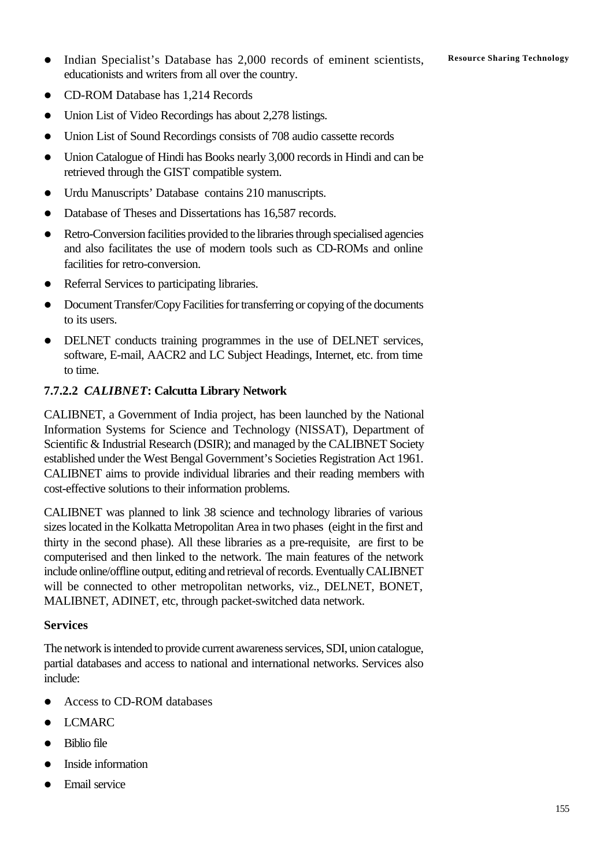- **•** Indian Specialist's Database has 2,000 records of eminent scientists, Resource Sharing Technology educationists and writers from all over the country.
- CD-ROM Database has 1,214 Records
- Union List of Video Recordings has about 2,278 listings.
- Union List of Sound Recordings consists of 708 audio cassette records
- Union Catalogue of Hindi has Books nearly 3,000 records in Hindi and can be retrieved through the GIST compatible system.
- Urdu Manuscripts' Database contains 210 manuscripts.
- Database of Theses and Dissertations has 16,587 records.
- Retro-Conversion facilities provided to the libraries through specialised agencies and also facilitates the use of modern tools such as CD-ROMs and online facilities for retro-conversion.
- Referral Services to participating libraries.
- Document Transfer/Copy Facilities for transferring or copying of the documents to its users.
- DELNET conducts training programmes in the use of DELNET services, software, E-mail, AACR2 and LC Subject Headings, Internet, etc. from time to time.

## **7.7.2.2** *CALIBNET***: Calcutta Library Network**

CALIBNET, a Government of India project, has been launched by the National Information Systems for Science and Technology (NISSAT), Department of Scientific & Industrial Research (DSIR); and managed by the CALIBNET Society established under the West Bengal Government's Societies Registration Act 1961. CALIBNET aims to provide individual libraries and their reading members with cost-effective solutions to their information problems.

CALIBNET was planned to link 38 science and technology libraries of various sizes located in the Kolkatta Metropolitan Area in two phases (eight in the first and thirty in the second phase). All these libraries as a pre-requisite, are first to be computerised and then linked to the network. The main features of the network include online/offline output, editing and retrieval of records. Eventually CALIBNET will be connected to other metropolitan networks, viz., DELNET, BONET, MALIBNET, ADINET, etc, through packet-switched data network.

#### **Services**

The network is intended to provide current awareness services, SDI, union catalogue, partial databases and access to national and international networks. Services also include:

- Access to CD-ROM databases
- $\bullet$  LCMARC
- $\bullet$  Biblio file
- l Inside information
- Email service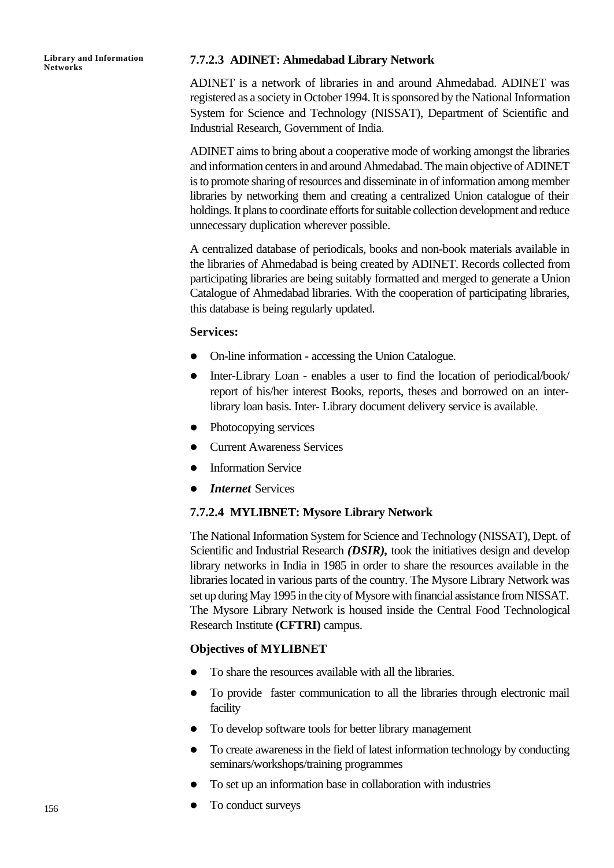## **7.7.2.3 ADINET: Ahmedabad Library Network**

ADINET is a network of libraries in and around Ahmedabad. ADINET was registered as a society in October 1994. It is sponsored by the National Information System for Science and Technology (NISSAT), Department of Scientific and Industrial Research, Government of India.

ADINET aims to bring about a cooperative mode of working amongst the libraries and information centers in and around Ahmedabad. The main objective of ADINET is to promote sharing of resources and disseminate in of information among member libraries by networking them and creating a centralized Union catalogue of their holdings. It plans to coordinate efforts for suitable collection development and reduce unnecessary duplication wherever possible.

A centralized database of periodicals, books and non-book materials available in the libraries of Ahmedabad is being created by ADINET. Records collected from participating libraries are being suitably formatted and merged to generate a Union Catalogue of Ahmedabad libraries. With the cooperation of participating libraries, this database is being regularly updated.

## **Services:**

- On-line information accessing the Union Catalogue.
- Inter-Library Loan enables a user to find the location of periodical/book/ report of his/her interest Books, reports, theses and borrowed on an interlibrary loan basis. Inter- Library document delivery service is available.
- $\bullet$  Photocopying services
- Current Awareness Services
- Information Service
- *Internet* Services

#### **7.7.2.4 MYLIBNET: Mysore Library Network**

The National Information System for Science and Technology (NISSAT), Dept. of Scientific and Industrial Research *(DSIR),* took the initiatives design and develop library networks in India in 1985 in order to share the resources available in the libraries located in various parts of the country. The Mysore Library Network was set up during May 1995 in the city of Mysore with financial assistance from NISSAT. The Mysore Library Network is housed inside the Central Food Technological Research Institute **(CFTRI)** campus.

#### **Objectives of MYLIBNET**

- To share the resources available with all the libraries.
- To provide faster communication to all the libraries through electronic mail facility
- To develop software tools for better library management
- To create awareness in the field of latest information technology by conducting seminars/workshops/training programmes
- To set up an information base in collaboration with industries
- To conduct surveys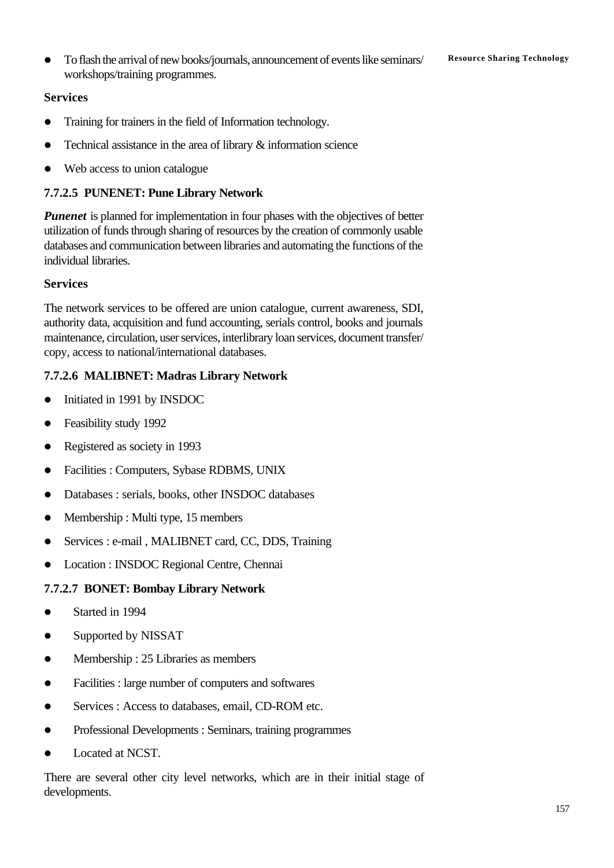**•** To flash the arrival of new books/journals, announcement of events like seminars/ **Resource Sharing Technology** workshops/training programmes.

## **Services**

- Training for trainers in the field of Information technology.
- Technical assistance in the area of library  $\&$  information science
- Web access to union catalogue

## **7.7.2.5 PUNENET: Pune Library Network**

*Punenet* is planned for implementation in four phases with the objectives of better utilization of funds through sharing of resources by the creation of commonly usable databases and communication between libraries and automating the functions of the individual libraries.

## **Services**

The network services to be offered are union catalogue, current awareness, SDI, authority data, acquisition and fund accounting, serials control, books and journals maintenance, circulation, user services, interlibrary loan services, document transfer/ copy, access to national/international databases.

## **7.7.2.6 MALIBNET: Madras Library Network**

- Initiated in 1991 by INSDOC
- $\bullet$  Feasibility study 1992
- $\bullet$  Registered as society in 1993
- Facilities : Computers, Sybase RDBMS, UNIX
- Databases : serials, books, other INSDOC databases
- $\bullet$  Membership : Multi type, 15 members
- Services : e-mail, MALIBNET card, CC, DDS, Training
- l Location : INSDOC Regional Centre, Chennai

## **7.7.2.7 BONET: Bombay Library Network**

- Started in 1994
- Supported by NISSAT
- Membership : 25 Libraries as members
- Facilities : large number of computers and softwares
- Services : Access to databases, email, CD-ROM etc.
- Professional Developments : Seminars, training programmes
- l Located at NCST.

There are several other city level networks, which are in their initial stage of developments.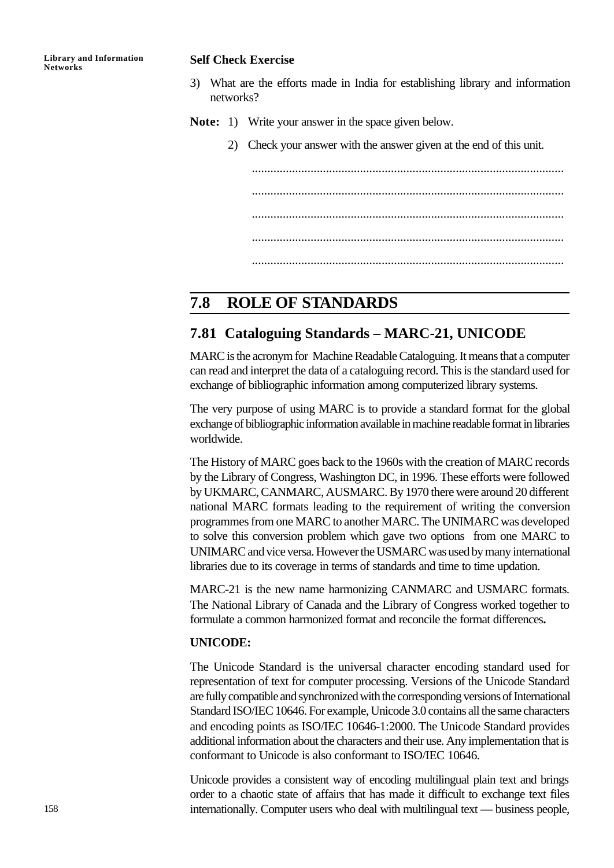#### **Self Check Exercise**

- 3) What are the efforts made in India for establishing library and information networks?
- **Note:** 1) Write your answer in the space given below.
	- 2) Check your answer with the answer given at the end of this unit.

..................................................................................................... ..................................................................................................... ..................................................................................................... .....................................................................................................

## **7.8 ROLE OF STANDARDS**

## **7.81 Cataloguing Standards – MARC-21, UNICODE**

MARC is the acronym for Machine Readable Cataloguing. It means that a computer can read and interpret the data of a cataloguing record. This is the standard used for exchange of bibliographic information among computerized library systems.

The very purpose of using MARC is to provide a standard format for the global exchange of bibliographic information available in machine readable format in libraries worldwide.

The History of MARC goes back to the 1960s with the creation of MARC records by the Library of Congress, Washington DC, in 1996. These efforts were followed by UKMARC, CANMARC, AUSMARC. By 1970 there were around 20 different national MARC formats leading to the requirement of writing the conversion programmes from one MARC to another MARC. The UNIMARC was developed to solve this conversion problem which gave two options from one MARC to UNIMARC and vice versa. However the USMARC was used by many international libraries due to its coverage in terms of standards and time to time updation.

MARC-21 is the new name harmonizing CANMARC and USMARC formats. The National Library of Canada and the Library of Congress worked together to formulate a common harmonized format and reconcile the format differences**.**

#### **UNICODE:**

The Unicode Standard is the universal character encoding standard used for representation of text for computer processing. Versions of the Unicode Standard are fully compatible and synchronized with the corresponding versions of International Standard ISO/IEC 10646. For example, Unicode 3.0 contains all the same characters and encoding points as ISO/IEC 10646-1:2000. The Unicode Standard provides additional information about the characters and their use. Any implementation that is conformant to Unicode is also conformant to ISO/IEC 10646.

Unicode provides a consistent way of encoding multilingual plain text and brings order to a chaotic state of affairs that has made it difficult to exchange text files internationally. Computer users who deal with multilingual text — business people,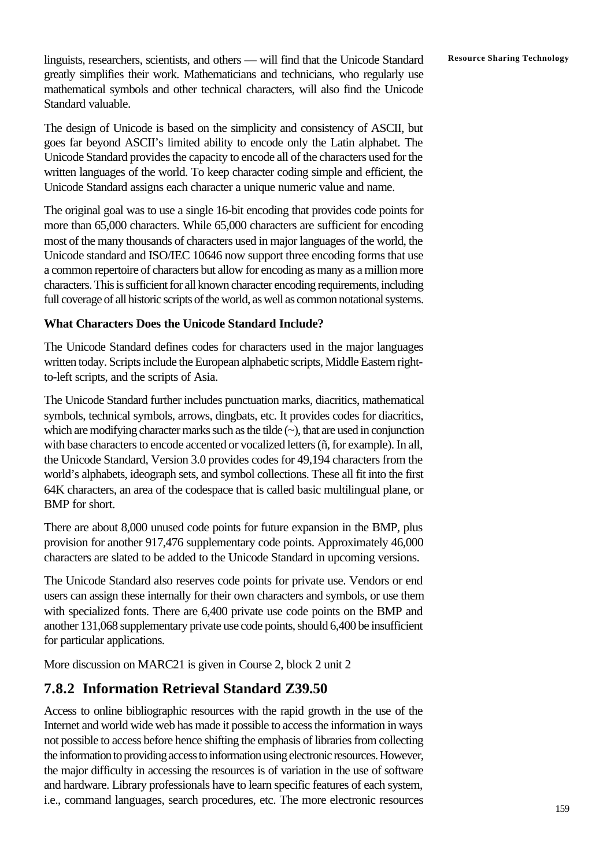**Resource Sharing Technology** linguists, researchers, scientists, and others — will find that the Unicode Standard greatly simplifies their work. Mathematicians and technicians, who regularly use mathematical symbols and other technical characters, will also find the Unicode Standard valuable.

The design of Unicode is based on the simplicity and consistency of ASCII, but goes far beyond ASCII's limited ability to encode only the Latin alphabet. The Unicode Standard provides the capacity to encode all of the characters used for the written languages of the world. To keep character coding simple and efficient, the Unicode Standard assigns each character a unique numeric value and name.

The original goal was to use a single 16-bit encoding that provides code points for more than 65,000 characters. While 65,000 characters are sufficient for encoding most of the many thousands of characters used in major languages of the world, the Unicode standard and ISO/IEC 10646 now support three encoding forms that use a common repertoire of characters but allow for encoding as many as a million more characters. This is sufficient for all known character encoding requirements, including full coverage of all historic scripts of the world, as well as common notational systems.

## **What Characters Does the Unicode Standard Include?**

The Unicode Standard defines codes for characters used in the major languages written today. Scripts include the European alphabetic scripts, Middle Eastern rightto-left scripts, and the scripts of Asia.

The Unicode Standard further includes punctuation marks, diacritics, mathematical symbols, technical symbols, arrows, dingbats, etc. It provides codes for diacritics, which are modifying character marks such as the tilde  $(\sim)$ , that are used in conjunction with base characters to encode accented or vocalized letters (ñ, for example). In all, the Unicode Standard, Version 3.0 provides codes for 49,194 characters from the world's alphabets, ideograph sets, and symbol collections. These all fit into the first 64K characters, an area of the codespace that is called basic multilingual plane, or BMP for short.

There are about 8,000 unused code points for future expansion in the BMP, plus provision for another 917,476 supplementary code points. Approximately 46,000 characters are slated to be added to the Unicode Standard in upcoming versions.

The Unicode Standard also reserves code points for private use. Vendors or end users can assign these internally for their own characters and symbols, or use them with specialized fonts. There are 6,400 private use code points on the BMP and another 131,068 supplementary private use code points, should 6,400 be insufficient for particular applications.

More discussion on MARC21 is given in Course 2, block 2 unit 2

## **7.8.2 Information Retrieval Standard Z39.50**

Access to online bibliographic resources with the rapid growth in the use of the Internet and world wide web has made it possible to access the information in ways not possible to access before hence shifting the emphasis of libraries from collecting the information to providing access to information using electronic resources. However, the major difficulty in accessing the resources is of variation in the use of software and hardware. Library professionals have to learn specific features of each system, i.e., command languages, search procedures, etc. The more electronic resources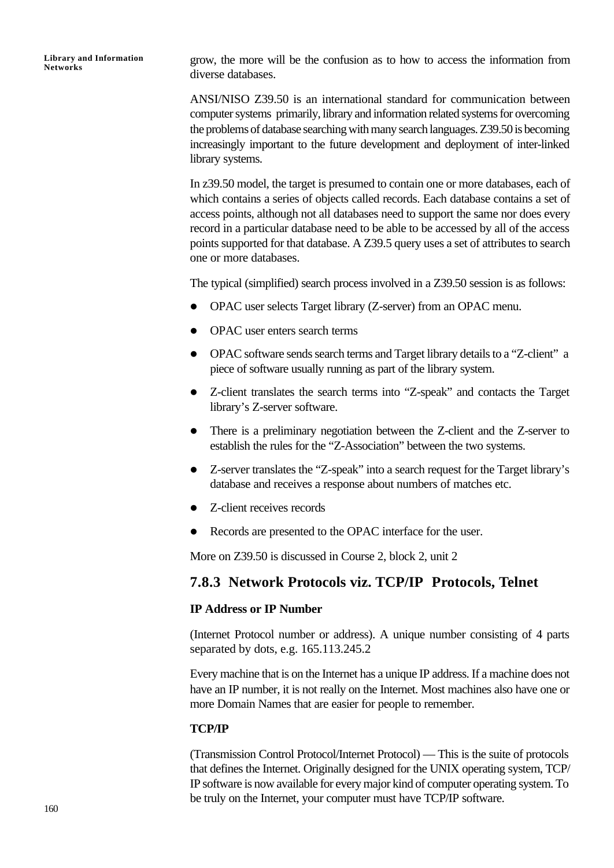grow, the more will be the confusion as to how to access the information from diverse databases.

ANSI/NISO Z39.50 is an international standard for communication between computer systems primarily, library and information related systems for overcoming the problems of database searching with many search languages. Z39.50 is becoming increasingly important to the future development and deployment of inter-linked library systems.

In z39.50 model, the target is presumed to contain one or more databases, each of which contains a series of objects called records. Each database contains a set of access points, although not all databases need to support the same nor does every record in a particular database need to be able to be accessed by all of the access points supported for that database. A Z39.5 query uses a set of attributes to search one or more databases.

The typical (simplified) search process involved in a Z39.50 session is as follows:

- OPAC user selects Target library (Z-server) from an OPAC menu.
- OPAC user enters search terms
- OPAC software sends search terms and Target library details to a "Z-client" a piece of software usually running as part of the library system.
- Z-client translates the search terms into "Z-speak" and contacts the Target library's Z-server software.
- There is a preliminary negotiation between the Z-client and the Z-server to establish the rules for the "Z-Association" between the two systems.
- Z-server translates the "Z-speak" into a search request for the Target library's database and receives a response about numbers of matches etc.
- $\bullet$  Z-client receives records
- Records are presented to the OPAC interface for the user.

More on Z39.50 is discussed in Course 2, block 2, unit 2

## **7.8.3 Network Protocols viz. TCP/IP Protocols, Telnet**

## **IP Address or IP Number**

(Internet Protocol number or address). A unique number consisting of 4 parts separated by dots, e.g. 165.113.245.2

Every machine that is on the Internet has a unique IP address. If a machine does not have an IP number, it is not really on the Internet. Most machines also have one or more Domain Names that are easier for people to remember.

## **TCP/IP**

(Transmission Control Protocol/Internet Protocol) — This is the suite of protocols that defines the Internet. Originally designed for the UNIX operating system, TCP/ IP software is now available for every major kind of computer operating system. To be truly on the Internet, your computer must have TCP/IP software.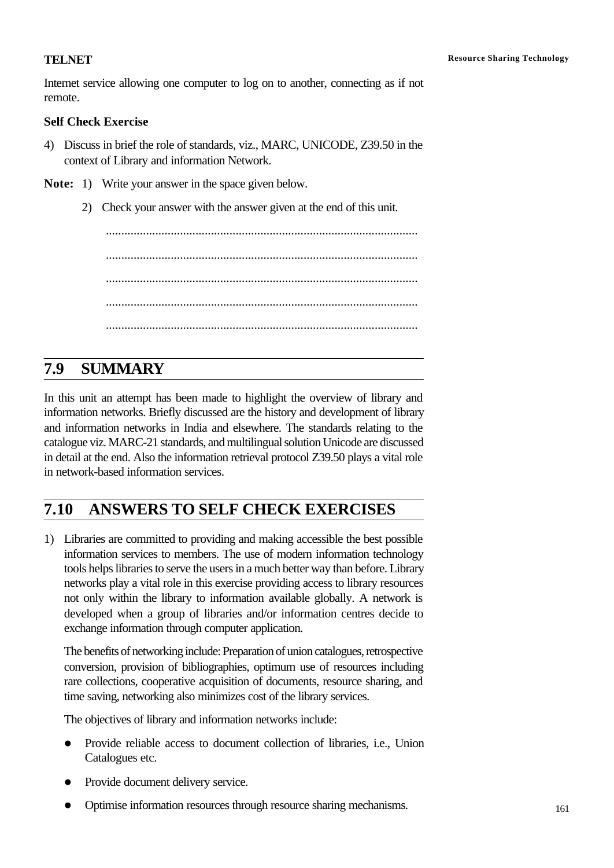Internet service allowing one computer to log on to another, connecting as if not remote.

## **Self Check Exercise**

- 4) Discuss in brief the role of standards, viz., MARC, UNICODE, Z39.50 in the context of Library and information Network.
- **Note:** 1) Write your answer in the space given below.
	- 2) Check your answer with the answer given at the end of this unit.

..................................................................................................... ..................................................................................................... ..................................................................................................... ..................................................................................................... .....................................................................................................

# **7.9 SUMMARY**

In this unit an attempt has been made to highlight the overview of library and information networks. Briefly discussed are the history and development of library and information networks in India and elsewhere. The standards relating to the catalogue viz. MARC-21 standards, and multilingual solution Unicode are discussed in detail at the end. Also the information retrieval protocol Z39.50 plays a vital role in network-based information services.

# **7.10 ANSWERS TO SELF CHECK EXERCISES**

1) Libraries are committed to providing and making accessible the best possible information services to members. The use of modern information technology tools helps libraries to serve the users in a much better way than before. Library networks play a vital role in this exercise providing access to library resources not only within the library to information available globally. A network is developed when a group of libraries and/or information centres decide to exchange information through computer application.

The benefits of networking include: Preparation of union catalogues, retrospective conversion, provision of bibliographies, optimum use of resources including rare collections, cooperative acquisition of documents, resource sharing, and time saving, networking also minimizes cost of the library services.

The objectives of library and information networks include:

- l Provide reliable access to document collection of libraries, i.e., Union Catalogues etc.
- Provide document delivery service.
- Optimise information resources through resource sharing mechanisms.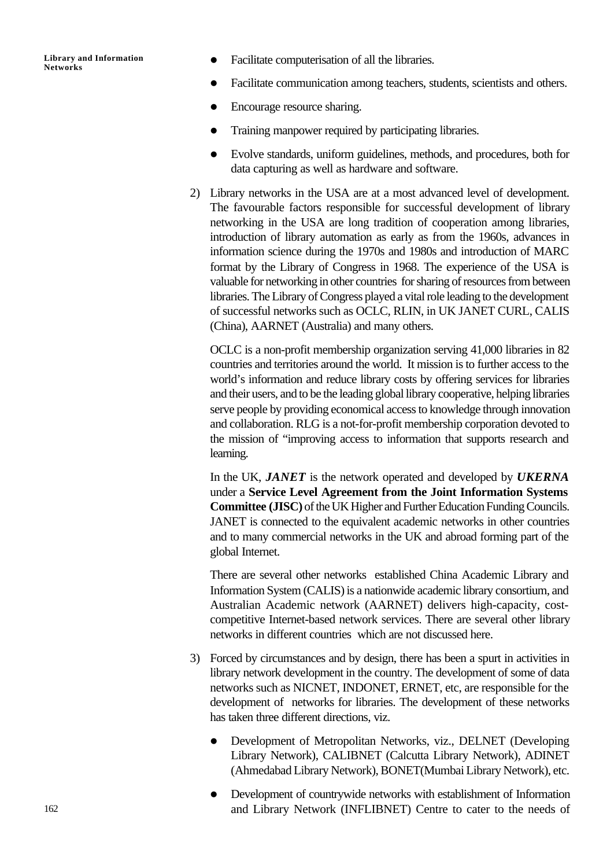- Facilitate computerisation of all the libraries.
- Facilitate communication among teachers, students, scientists and others.
- Encourage resource sharing.
- l Training manpower required by participating libraries.
- l Evolve standards, uniform guidelines, methods, and procedures, both for data capturing as well as hardware and software.
- 2) Library networks in the USA are at a most advanced level of development. The favourable factors responsible for successful development of library networking in the USA are long tradition of cooperation among libraries, introduction of library automation as early as from the 1960s, advances in information science during the 1970s and 1980s and introduction of MARC format by the Library of Congress in 1968. The experience of the USA is valuable for networking in other countries for sharing of resources from between libraries. The Library of Congress played a vital role leading to the development of successful networks such as OCLC, RLIN, in UK JANET CURL, CALIS (China), AARNET (Australia) and many others.

OCLC is a non-profit membership organization serving 41,000 libraries in 82 countries and territories around the world. It mission is to further access to the world's information and reduce library costs by offering services for libraries and their users, and to be the leading global library cooperative, helping libraries serve people by providing economical access to knowledge through innovation and collaboration. RLG is a not-for-profit membership corporation devoted to the mission of "improving access to information that supports research and learning.

In the UK, *JANET* is the network operated and developed by *UKERNA* under a **Service Level Agreement from the Joint Information Systems Committee (JISC)** of the UK Higher and Further Education Funding Councils. JANET is connected to the equivalent academic networks in other countries and to many commercial networks in the UK and abroad forming part of the global Internet.

There are several other networks established China Academic Library and Information System (CALIS) is a nationwide academic library consortium, and Australian Academic network (AARNET) delivers high-capacity, costcompetitive Internet-based network services. There are several other library networks in different countries which are not discussed here.

- 3) Forced by circumstances and by design, there has been a spurt in activities in library network development in the country. The development of some of data networks such as NICNET, INDONET, ERNET, etc, are responsible for the development of networks for libraries. The development of these networks has taken three different directions, viz.
	- l Development of Metropolitan Networks, viz., DELNET (Developing Library Network), CALIBNET (Calcutta Library Network), ADINET (Ahmedabad Library Network), BONET(Mumbai Library Network), etc.
	- Development of countrywide networks with establishment of Information and Library Network (INFLIBNET) Centre to cater to the needs of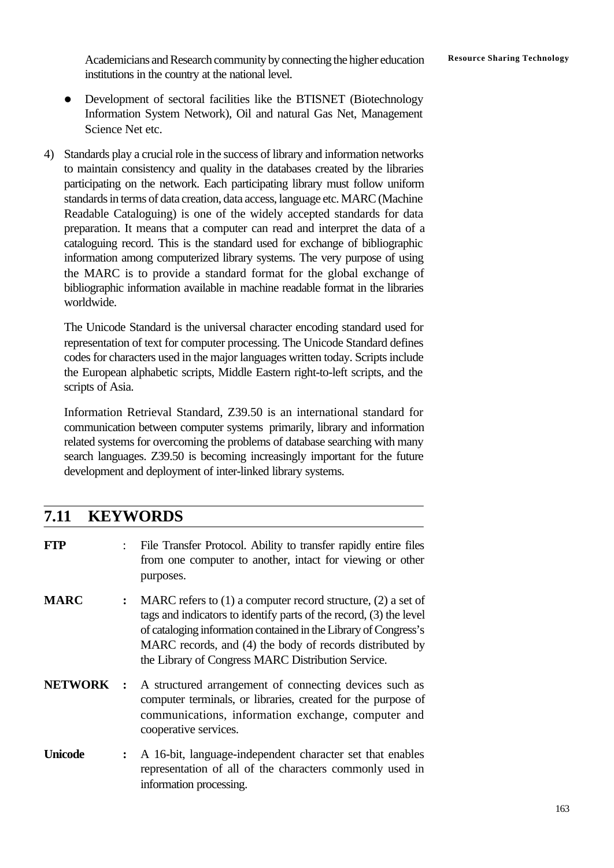Academicians and Research community by connecting the higher education Resource Sharing Technology institutions in the country at the national level.

- Development of sectoral facilities like the BTISNET (Biotechnology Information System Network), Oil and natural Gas Net, Management Science Net etc.
- 4) Standards play a crucial role in the success of library and information networks to maintain consistency and quality in the databases created by the libraries participating on the network. Each participating library must follow uniform standards in terms of data creation, data access, language etc. MARC (Machine Readable Cataloguing) is one of the widely accepted standards for data preparation. It means that a computer can read and interpret the data of a cataloguing record. This is the standard used for exchange of bibliographic information among computerized library systems. The very purpose of using the MARC is to provide a standard format for the global exchange of bibliographic information available in machine readable format in the libraries worldwide.

The Unicode Standard is the universal character encoding standard used for representation of text for computer processing. The Unicode Standard defines codes for characters used in the major languages written today. Scripts include the European alphabetic scripts, Middle Eastern right-to-left scripts, and the scripts of Asia.

Information Retrieval Standard, Z39.50 is an international standard for communication between computer systems primarily, library and information related systems for overcoming the problems of database searching with many search languages. Z39.50 is becoming increasingly important for the future development and deployment of inter-linked library systems.

## **7.11 KEYWORDS**

| <b>FTP</b>     |                | File Transfer Protocol. Ability to transfer rapidly entire files<br>from one computer to another, intact for viewing or other<br>purposes.                                                                                                                                                                                   |
|----------------|----------------|------------------------------------------------------------------------------------------------------------------------------------------------------------------------------------------------------------------------------------------------------------------------------------------------------------------------------|
| <b>MARC</b>    | $\ddot{\cdot}$ | MARC refers to $(1)$ a computer record structure, $(2)$ a set of<br>tags and indicators to identify parts of the record, (3) the level<br>of cataloging information contained in the Library of Congress's<br>MARC records, and (4) the body of records distributed by<br>the Library of Congress MARC Distribution Service. |
| <b>NETWORK</b> | $\mathbf{r}$   | A structured arrangement of connecting devices such as<br>computer terminals, or libraries, created for the purpose of<br>communications, information exchange, computer and<br>cooperative services.                                                                                                                        |
| <b>Unicode</b> | $\ddot{\cdot}$ | A 16-bit, language-independent character set that enables<br>representation of all of the characters commonly used in<br>information processing.                                                                                                                                                                             |